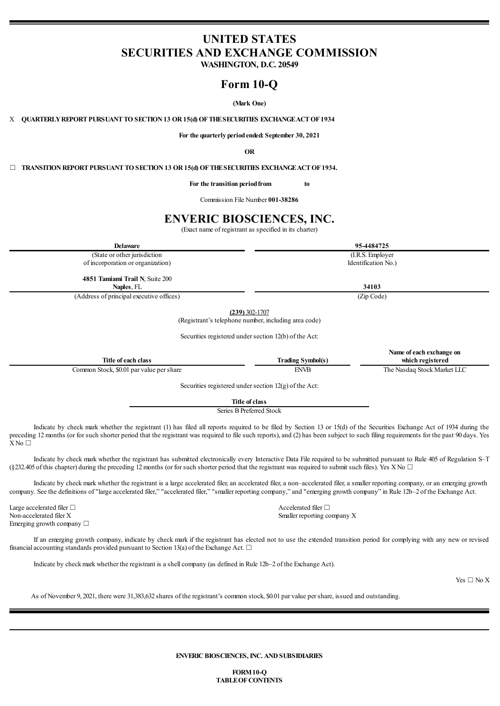# **UNITED STATES SECURITIES AND EXCHANGE COMMISSION**

**WASHINGTON, D.C. 20549**

# **Form 10-Q**

# **(Mark One)**

<span id="page-0-0"></span>X **QUARTERLYREPORTPURSUANTTOSECTION13 OR15(d)OFTHESECURITIES EXCHANGEACTOF1934**

**For the quarterly periodended: September 30, 2021**

**OR**

☐ **TRANSITIONREPORTPURSUANTTOSECTION13 OR15(d)OFTHESECURITIES EXCHANGEACTOF1934.**

**For the transition periodfrom to**

Commission File Number **001-38286**

# **ENVERIC BIOSCIENCES, INC.**

(Exact name of registrant as specified in its charter)

**Delaware 95-4484725** (State or other jurisdiction

of incorporation or organization)

**4851 Tamiami Trail N**, Suite 200

**Naples**, FL **34103**

(Address of principalexecutive offices) (Zip Code)

**(239)** 302-1707

(Registrant's telephone number, including area code)

Securities registered under section 12(b) of the Act:

**Title ofeach class Trading Symbol(s)**

Common Stock, \$0.01 par value per share ENVB ENVB The Nasdaq Stock Market LLC

Securities registered under section  $12(g)$  of the Act:

**Title** of class

Series BPreferred Stock

Indicate by check mark whether the registrant (1) has filed all reports required to be filed by Section 13 or 15(d) of the Securities Exchange Act of 1934 during the preceding 12 months (or for such shorter period that the registrant was required to file such reports), and (2) has been subject to such filing requirements for the past 90 days. Yes  $X$ No  $\Box$ 

Indicate by check mark whether the registrant has submitted electronically every Interactive Data File required to be submitted pursuant to Rule 405 of Regulation S–T (§232.405 of this chapter) during the preceding 12 months (or for such shorter period that the registrant was required to submit such files). Yes X No  $\Box$ 

Indicate by check mark whether the registrant is a large accelerated filer, an accelerated filer, a non–accelerated filer, a smaller reporting company, or an emerging growth company. See the definitions of"large accelerated filer," "accelerated filer," "smaller reporting company," and "emerging growth company" in Rule 12b–2 of the Exchange Act.

Large accelerated filer □ accelerated filer □ accelerated filer □ accelerated filer □ Non-accelerated filer X Smaller reporting company X Emerging growth company  $\Box$ 

If an emerging growth company, indicate by check mark if the registrant has elected not to use the extended transition period for complying with any new or revised financial accounting standards provided pursuant to Section 13(a) of the Exchange Act.  $\Box$ 

Indicate by check mark whether the registrant is a shell company (as defined in Rule 12b–2 of the Exchange Act).

 $Y_{PS} \square N_0 Y$ 

As of November 9, 2021, there were 31,383,632 shares of the registrant's common stock, \$0.01 par value pershare, issued and outstanding.

**ENVERICBIOSCIENCES, INC. ANDSUBSIDIARIES**

**FORM10-Q TABLEOFCONTENTS**

(I.R.S. Employer Identification No.)

**Name ofeach exchange on which registered**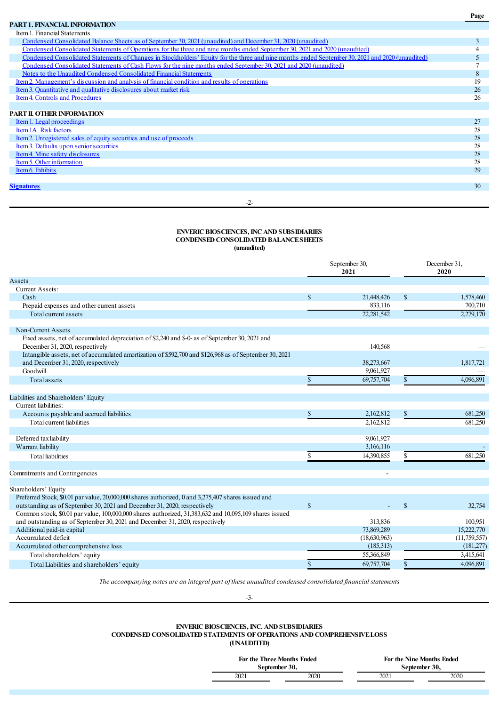| <b>PART 1. FINANCIAL INFORMATION</b>                                                                                                             |    |
|--------------------------------------------------------------------------------------------------------------------------------------------------|----|
| Item 1. Financial Statements                                                                                                                     |    |
| Condensed Consolidated Balance Sheets as of September 30, 2021 (unaudited) and December 31, 2020 (unaudited)                                     | 3  |
| Condensed Consolidated Statements of Operations for the three and nine months ended September 30, 2021 and 2020 (unaudited)                      |    |
| Condensed Consolidated Statements of Changes in Stockholders' Equity for the three and nine months ended September 30, 2021 and 2020 (unaudited) |    |
| Condensed Consolidated Statements of Cash Flows for the nine months ended September 30, 2021 and 2020 (unaudited)                                |    |
| Notes to the Unaudited Condensed Consolidated Financial Statements                                                                               | 8  |
| Item 2. Management's discussion and analysis of financial condition and results of operations                                                    | 19 |
| Item 3. Quantitative and qualitative disclosures about market risk                                                                               | 26 |
| Item 4. Controls and Procedures                                                                                                                  | 26 |
|                                                                                                                                                  |    |
| <b>PART II. OTHER INFORMATION</b>                                                                                                                |    |
| Item 1. Legal proceedings                                                                                                                        | 27 |
| Item 1A. Risk factors                                                                                                                            | 28 |
| Item 2. Unregistered sales of equity securities and use of proceeds                                                                              | 28 |
| Item 3. Defaults upon senior securities                                                                                                          | 28 |
| Item 4. Mine safety disclosures                                                                                                                  | 28 |
| Item 5. Other information                                                                                                                        | 28 |
| Item 6. Exhibits                                                                                                                                 | 29 |
|                                                                                                                                                  |    |
| <b>Signatures</b>                                                                                                                                | 30 |
|                                                                                                                                                  |    |
| $-2-$                                                                                                                                            |    |

**Page**

# **ENVERICBIOSCIENCES, INCANDSUBSIDIARIES CONDENSED CONSOLIDATED BALANCE SHEETS (unaudited)**

|                                                                                                        |               | September 30,<br>2021 |              | December 31,<br>2020 |
|--------------------------------------------------------------------------------------------------------|---------------|-----------------------|--------------|----------------------|
| Assets                                                                                                 |               |                       |              |                      |
| Current Assets:                                                                                        |               |                       |              |                      |
| Cash                                                                                                   | $\mathcal{S}$ | 21,448,426            | $\mathbf{s}$ | 1,578,460            |
| Prepaid expenses and other current assets                                                              |               | 833,116               |              | 700,710              |
| Total current assets                                                                                   |               | 22,281,542            |              | 2,279,170            |
| Non-Current Assets                                                                                     |               |                       |              |                      |
| Fixed assets, net of accumulated depreciation of \$2,240 and \$-0- as of September 30, 2021 and        |               |                       |              |                      |
| December 31, 2020, respectively                                                                        |               | 140,568               |              |                      |
| Intangible assets, net of accumulated amortization of \$592,700 and \$126,968 as of September 30, 2021 |               |                       |              |                      |
| and December 31, 2020, respectively                                                                    |               | 38,273,667            |              | 1.817.721            |
| Goodwill                                                                                               |               | 9,061,927             |              |                      |
| <b>Total assets</b>                                                                                    | \$            | 69,757,704            | \$           | 4.096.891            |
| Liabilities and Shareholders' Equity                                                                   |               |                       |              |                      |
| Current liabilities:                                                                                   |               |                       |              |                      |
| Accounts payable and accrued liabilities                                                               | \$.           | 2,162,812             | $\mathbb{S}$ | 681.250              |
| Total current liabilities                                                                              |               | 2,162,812             |              | 681,250              |
|                                                                                                        |               |                       |              |                      |
| Deferred tax liability                                                                                 |               | 9,061,927             |              |                      |
| Warrant liability                                                                                      |               | 3,166,116             |              |                      |
| <b>Total</b> liabilities                                                                               |               | 14,390,855            |              | 681,250              |
|                                                                                                        |               |                       |              |                      |
| Commitments and Contingencies                                                                          |               |                       |              |                      |
| Shareholders' Equity                                                                                   |               |                       |              |                      |
| Preferred Stock, \$0.01 par value, 20,000,000 shares authorized, 0 and 3,275,407 shares issued and     |               |                       |              |                      |
| outstanding as of September 30, 2021 and December 31, 2020, respectively                               | $\mathbf S$   |                       | $\mathbf{s}$ | 32,754               |
| Common stock, \$0.01 par value, 100,000,000 shares authorized, 31,383,632 and 10,095,109 shares issued |               |                       |              |                      |
| and outstanding as of September 30, 2021 and December 31, 2020, respectively                           |               | 313,836               |              | 100,951              |
| Additional paid-in capital                                                                             |               | 73,869,289            |              | 15,222,770           |
| Accumulated deficit                                                                                    |               | (18,630,963)          |              | (11,759,557)         |
| Accumulated other comprehensive loss                                                                   |               | (185,313)             |              | (181,277)            |
| Total shareholders' equity                                                                             |               | 55,366,849            |              | 3.415.641            |
| Total Liabilities and shareholders' equity                                                             | \$            | 69,757,704            | \$           | 4,096,891            |

*The accompanying notes are an integral part of these unaudited condensed consolidated financial statements* -3-

# **ENVERICBIOSCIENCES, INC. ANDSUBSIDIARIES CONDENSEDCONSOLIDATEDSTATEMENTS OFOPERATIONS ANDCOMPREHENSIVELOSS (UNAUDITED)**

| For the Three Months Ended<br>September 30. |      | September 30. | For the Nine Months Ended |
|---------------------------------------------|------|---------------|---------------------------|
|                                             | 2020 | 2021          | 2020                      |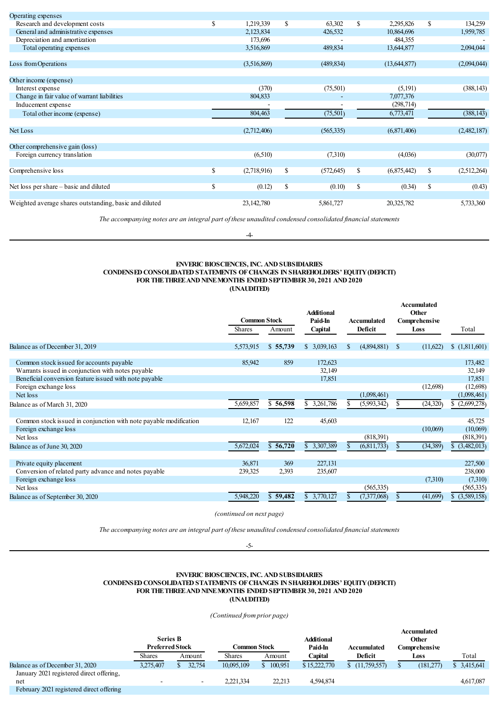| Operating expenses                                     |                   |              |            |    |                |               |             |
|--------------------------------------------------------|-------------------|--------------|------------|----|----------------|---------------|-------------|
| Research and development costs                         | \$<br>1,219,339   | $\mathbb{S}$ | 63,302     | S. | 2,295,826      | <sup>\$</sup> | 134,259     |
| General and administrative expenses                    | 2,123,834         |              | 426,532    |    | 10,864,696     |               | 1,959,785   |
| Depreciation and amortization                          | 173,696           |              |            |    | 484,355        |               |             |
| Total operating expenses                               | 3,516,869         |              | 489,834    |    | 13,644,877     |               | 2,094,044   |
|                                                        |                   |              |            |    |                |               |             |
| Loss from Operations                                   | (3,516,869)       |              | (489, 834) |    | (13, 644, 877) |               | (2,094,044) |
|                                                        |                   |              |            |    |                |               |             |
| Other income (expense)                                 |                   |              |            |    |                |               |             |
| Interest expense                                       | (370)             |              | (75,501)   |    | (5,191)        |               | (388, 143)  |
| Change in fair value of warrant liabilities            | 804,833           |              |            |    | 7,077,376      |               |             |
| Inducement expense                                     |                   |              |            |    | (298, 714)     |               |             |
| Total other income (expense)                           | 804,463           |              | (75,501)   |    | 6,773,471      |               | (388, 143)  |
|                                                        |                   |              |            |    |                |               |             |
| Net Loss                                               | (2,712,406)       |              | (565, 335) |    | (6,871,406)    |               | (2,482,187) |
|                                                        |                   |              |            |    |                |               |             |
| Other comprehensive gain (loss)                        |                   |              |            |    |                |               |             |
| Foreign currency translation                           | (6,510)           |              | (7,310)    |    | (4,036)        |               | (30,077)    |
|                                                        |                   |              |            |    |                |               |             |
| Comprehensive loss                                     | \$<br>(2,718,916) | \$           | (572, 645) | \$ | (6,875,442)    | \$            | (2,512,264) |
|                                                        |                   |              |            |    |                |               |             |
| Net loss per share – basic and diluted                 | \$<br>(0.12)      | \$           | (0.10)     | \$ | (0.34)         | \$            | (0.43)      |
|                                                        |                   |              |            |    |                |               |             |
| Weighted average shares outstanding, basic and diluted | 23, 142, 780      |              | 5,861,727  |    | 20,325,782     |               | 5,733,360   |
|                                                        |                   |              |            |    |                |               |             |

*The accompanying notes are an integral part of these unaudited condensed consolidated financial statements*

-4-

# **ENVERICBIOSCIENCES, INC. ANDSUBSIDIARIES CONDENSEDCONSOLIDATEDSTATEMENTS OFCHANGES INSHAREHOLDERS' EQUITY(DEFICIT) FORTHETHREEANDNINEMONTHS ENDEDSEPTEMBER30, 2021 AND2020 (UNAUDITED)**

|                                                                   | <b>Common Stock</b> |          | <b>Additional</b><br>Paid-In |    | Accumulated |    | <b>Accumulated</b><br>Other<br>Comprehensive |                   |
|-------------------------------------------------------------------|---------------------|----------|------------------------------|----|-------------|----|----------------------------------------------|-------------------|
|                                                                   | Shares              | Amount   | Capital                      |    | Deficit     |    | Loss                                         | Total             |
| Balance as of December 31, 2019                                   | 5,573,915           | \$55,739 | \$3,039,163                  | S. | (4,894,881) | -S | (11,622)                                     | \$(1,811,601)     |
| Common stock issued for accounts payable                          | 85,942              | 859      | 172,623                      |    |             |    |                                              | 173,482           |
| Warrants issued in conjunction with notes payable                 |                     |          | 32,149                       |    |             |    |                                              | 32,149            |
| Beneficial conversion feature issued with note payable            |                     |          | 17,851                       |    |             |    |                                              | 17,851            |
| Foreign exchange loss                                             |                     |          |                              |    |             |    | (12,698)                                     | (12,698)          |
| Net loss                                                          |                     |          |                              |    | (1,098,461) |    |                                              | (1,098,461)       |
| Balance as of March 31, 2020                                      | 5,659,857           | \$56,598 | \$ 3,261,786                 |    | (5,993,342) |    | (24, 320)                                    | (2,699,278)       |
|                                                                   |                     |          |                              |    |             |    |                                              |                   |
| Common stock issued in conjunction with note payable modification | 12,167              | 122      | 45,603                       |    |             |    |                                              | 45,725            |
| Foreign exchange loss                                             |                     |          |                              |    |             |    | (10,069)                                     | (10,069)          |
| Net loss                                                          |                     |          |                              |    | (818,391)   |    |                                              | (818,391)         |
| Balance as of June 30, 2020                                       | 5,672,024           | \$56,720 | 3,307,389<br>$\mathbb{S}$    |    | (6,811,733) |    | (34, 389)                                    | (3,482,013)<br>S. |
|                                                                   |                     |          |                              |    |             |    |                                              |                   |
| Private equity placement                                          | 36,871              | 369      | 227,131                      |    |             |    |                                              | 227,500           |
| Conversion of related party advance and notes payable             | 239,325             | 2,393    | 235,607                      |    |             |    |                                              | 238,000           |
| Foreign exchange loss                                             |                     |          |                              |    |             |    | (7,310)                                      | (7,310)           |
| Net loss                                                          |                     |          |                              |    | (565, 335)  |    |                                              | (565, 335)        |
| Balance as of September 30, 2020                                  | 5,948,220           | \$59,482 | \$3,770,127                  |    | (7,377,068) |    | (41,699)                                     | (3,589,158)       |

*(continued on next page)*

*The accompanying notes are an integral part of these unaudited condensed consolidated financial statements*

-5-

# **ENVERICBIOSCIENCES, INC. ANDSUBSIDIARIES CONDENSEDCONSOLIDATEDSTATEMENTS OFCHANGES INSHAREHOLDERS' EQUITY(DEFICIT)** FOR THE THREE AND NINE MONTHS ENDED SEPTEMBER 30, 2021 AND 2020 **(UNAUDITED)**

# *(Continued fromprior page)*

|                                          | <b>Series B</b><br><b>Preferred Stock</b> |                          | Common Stock  |           | <b>Additional</b><br>Paid-In | Accumulated  | Accumulated<br>Other<br>Comprehensive |           |
|------------------------------------------|-------------------------------------------|--------------------------|---------------|-----------|------------------------------|--------------|---------------------------------------|-----------|
|                                          | Shares                                    | Amount                   | <b>Shares</b> | Amount    | Capital                      | Deficit      | Loss                                  | Total     |
| Balance as of December 31, 2020          | 3,275,407                                 | 32.754                   | 10.095.109    | \$100.951 | \$15,222,770                 | (11,759,557) | (181,277)                             | 3,415,641 |
| January 2021 registered direct offering, |                                           |                          |               |           |                              |              |                                       |           |
| net                                      |                                           | $\overline{\phantom{0}}$ | 2,221,334     | 22,213    | 4,594,874                    |              |                                       | 4,617,087 |
| February 2021 registered direct offering |                                           |                          |               |           |                              |              |                                       |           |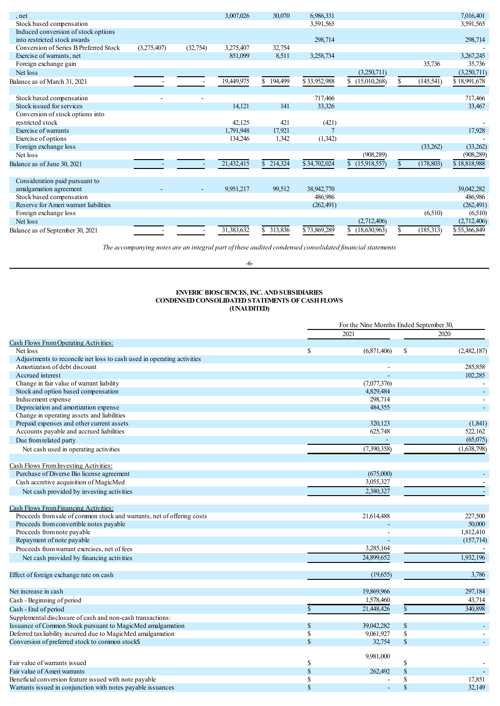| , net                                  |             |           | 3,007,026  | 30,070         | 6,986,331    |                    |    |            | 7,016,401    |
|----------------------------------------|-------------|-----------|------------|----------------|--------------|--------------------|----|------------|--------------|
| Stock based compensation               |             |           |            |                | 3,591,565    |                    |    |            | 3,591,565    |
| Induced conversion of stock options    |             |           |            |                |              |                    |    |            |              |
| into restricted stock awards           |             |           |            |                | 298,714      |                    |    |            | 298,714      |
| Conversion of Series B Preferred Stock | (3,275,407) | (32, 754) | 3,275,407  | 32,754         |              |                    |    |            |              |
| Exercise of warrants, net              |             |           | 851,099    | 8,511          | 3,258,734    |                    |    |            | 3,267,245    |
| Foreign exchange gain                  |             |           |            |                |              |                    |    | 35,736     | 35,736       |
| Net loss                               |             |           |            |                |              | (3,250,711)        |    |            | (3,250,711)  |
| Balance as of March 31, 2021           |             |           | 19,449,975 | 194,499<br>\$  | \$33,952,988 | (15,010,268)<br>S. |    | (145, 541) | \$18,991,678 |
|                                        |             |           |            |                |              |                    |    |            |              |
| Stock based compensation               |             |           |            |                | 717,466      |                    |    |            | 717,466      |
| Stock issued for services              |             |           | 14,121     | 141            | 33,326       |                    |    |            | 33,467       |
| Conversion of stock options into       |             |           |            |                |              |                    |    |            |              |
| restricted stock                       |             |           | 42,125     | 421            | (421)        |                    |    |            |              |
| Exercise of warrants                   |             |           | 1,791,948  | 17,921         |              |                    |    |            | 17,928       |
| Exercise of options                    |             |           | 134,246    | 1,342          | (1,342)      |                    |    |            |              |
| Foreign exchange loss                  |             |           |            |                |              |                    |    | (33,262)   | (33,262)     |
| Net loss                               |             |           |            |                |              | (908, 289)         |    |            | (908, 289)   |
| Balance as of June 30, 2021            |             |           | 21,432,415 | 214,324<br>\$. | \$34,702,024 | (15,918,557)<br>S. | S. | (178, 803) | \$18,818,988 |
|                                        |             |           |            |                |              |                    |    |            |              |
| Consideration paid pursuant to         |             |           |            |                |              |                    |    |            |              |
| amalgamation agreement                 |             |           | 9,951,217  | 99,512         | 38,942,770   |                    |    |            | 39,042,282   |
| Stock based compensation               |             |           |            |                | 486,986      |                    |    |            | 486,986      |
| Reserve for Ameri warrant liabilities  |             |           |            |                | (262, 491)   |                    |    |            | (262, 491)   |
| Foreign exchange loss                  |             |           |            |                |              |                    |    | (6,510)    | (6,510)      |
| Net loss                               |             |           |            |                |              | (2,712,406)        |    |            | (2,712,406)  |
| Balance as of September 30, 2021       |             |           | 31,383,632 | \$ 313,836     | \$73,869,289 | (18,630,963)<br>S. |    | (185,313)  | \$55,366,849 |

*The accompanying notes are an integral part of these audited condensed consolidated financial statements*

-6-

### **ENVERICBIOSCIENCES, INC. ANDSUBSIDIARIES CONDENSEDCONSOLIDATEDSTATEMENTS OFCASHFLOWS (UNAUDITED)**

|                                                                        |               | For the Nine Months Ended September 30, |                    |             |
|------------------------------------------------------------------------|---------------|-----------------------------------------|--------------------|-------------|
|                                                                        |               | 2021                                    |                    | 2020        |
| <b>Cash Flows From Operating Activities:</b>                           |               |                                         |                    |             |
| Net loss                                                               | <sup>\$</sup> | (6,871,406)                             | \$                 | (2,482,187) |
| Adjustments to reconcile net loss to cash used in operating activities |               |                                         |                    |             |
| Amortization of debt discount                                          |               |                                         |                    | 285.858     |
| Accrued interest                                                       |               |                                         |                    | 102.285     |
| Change in fair value of warrant liability                              |               | (7,077,376)                             |                    |             |
| Stock and option based compensation                                    |               | 4,829,484                               |                    |             |
| Inducement expense                                                     |               | 298,714                                 |                    |             |
| Depreciation and amortization expense                                  |               | 484,355                                 |                    |             |
| Change in operating assets and liabilities                             |               |                                         |                    |             |
| Prepaid expenses and other current assets                              |               | 320,123                                 |                    | (1, 841)    |
| Accounts payable and accrued liabilities                               |               | 625,748                                 |                    | 522,162     |
| Due from related party                                                 |               |                                         |                    | (65,075)    |
| Net cash used in operating activities                                  |               | (7,390,358)                             |                    | (1,638,798) |
|                                                                        |               |                                         |                    |             |
| Cash Flows From Investing Activities:                                  |               |                                         |                    |             |
| Purchase of Diverse Bio license agreement                              |               | (675,000)                               |                    |             |
| Cash accretive acquisition of MagicMed                                 |               | 3,055,327                               |                    |             |
| Net cash provided by investing activities                              |               | 2.380.327                               |                    |             |
| Cash Flows From Financing Activities:                                  |               |                                         |                    |             |
| Proceeds from sale of common stock and warrants, net of offering costs |               | 21,614,488                              |                    | 227,500     |
| Proceeds from convertible notes payable                                |               |                                         |                    | 50,000      |
| Proceeds from note payable                                             |               |                                         |                    | 1,812,410   |
| Repayment of note payable                                              |               |                                         |                    | (157, 714)  |
| Proceeds from warrant exercises, net of fees                           |               | 3,285,164                               |                    |             |
| Net cash provided by financing activities                              |               | 24,899,652                              |                    | 1,932,196   |
|                                                                        |               |                                         |                    |             |
| Effect of foreign exchange rate on cash                                |               | (19,655)                                |                    | 3,786       |
|                                                                        |               |                                         |                    |             |
| Net increase in cash                                                   |               | 19,869,966                              |                    | 297,184     |
| Cash - Beginning of period                                             |               | 1,578,460                               |                    | 43,714      |
| Cash - End of period                                                   | \$            | 21,448,426                              | \$                 | 340,898     |
| Supplemental disclosure of cash and non-cash transactions:             |               |                                         |                    |             |
| Issuance of Common Stock pursuant to MagicMed amalgamation             | \$            | 39,042,282                              | \$                 |             |
| Deferred tax liability incurred due to MagicMed amalgamation           | \$            | 9,061,927                               | \$                 |             |
| Conversion of preferred stock to common stock\$                        | $\mathcal{S}$ | 32,754                                  | \$                 |             |
|                                                                        |               | 9,981,000                               |                    |             |
| Fair value of warrants issued                                          | \$            |                                         | \$                 |             |
| Fair value of Ameri warrants                                           | $\mathbb{S}$  | 262,492                                 | \$                 |             |
| Beneficial conversion feature issued with note payable                 | \$            |                                         | \$                 | 17,851      |
| Warrants issued in conjunction with notes payable issuances            | $\mathcal{S}$ |                                         | $\mathbf{\hat{S}}$ | 32,149      |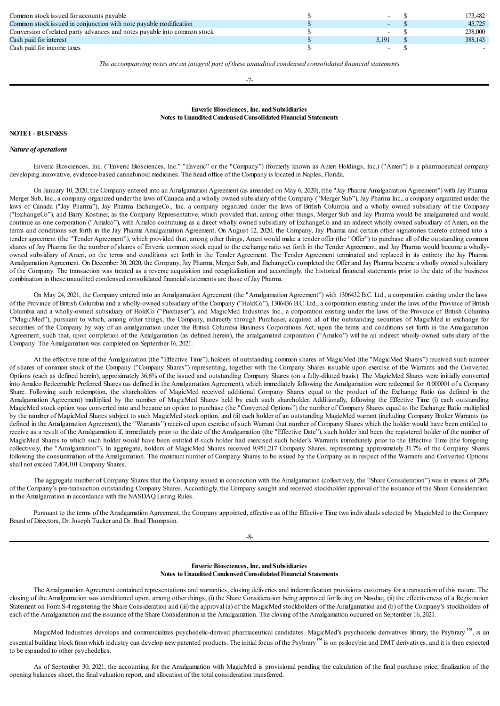| Common stock issued for accounts payable                                 | $\sim$           | 173,482 |
|--------------------------------------------------------------------------|------------------|---------|
| Common stock issued in conjunction with note payable modification        |                  | 45,725  |
| Conversion of related party advances and notes payable into common stock | $\sim$ 100 $\mu$ | 238,000 |
| Cash paid for interest                                                   | 5.191            | 388,143 |
| Cash paid for income taxes                                               |                  |         |

*The accompanying notes are an integral part of these unaudited condensed consolidated financial statements*

-7-

**Enveric Biosciences, Inc. andSubsidiaries Notes** to Unaudited Condensed Consolidated Financial Statements

# **NOTE1 - BUSINESS**

### *Nature of operations*

Enveric Biosciences, Inc. ("Enveric Biosciences, Inc." "Enveric" or the "Company") (formerly known as Ameri Holdings, Inc.) ("Ameri") is a pharmaceutical company developing innovative, evidence-based cannabinoid medicines. The head office of the Company is located in Naples, Florida.

On January 10, 2020, the Company entered into an Amalgamation Agreement (as amended on May 6, 2020), (the "Jay PharmaAmalgamation Agreement") with Jay Pharma Merger Sub, Inc.,a company organized under the laws of Canada and a wholly owned subsidiary of the Company ("Merger Sub"), Jay Pharma Inc.,a company organized under the laws of Canada ("Jay Pharma"), Jay Pharma ExchangeCo., Inc. a company organized under the laws of British Columbia and a wholly owned subsidiary of the Company ("ExchangeCo"), and Barry Kostiner, as the Company Representative, which provided that, among other things, Merger Sub and Jay Pharma would be amalgamated and would continue as one corporation ("Amalco"), with Amalco continuing as a direct wholly owned subsidiary of ExchangeCo and an indirect wholly owned subsidiary of Ameri, on the terms and conditions set forth in the Jay Pharma Amalgamation Agreement. On August 12, 2020, the Company, Jay Pharma and certain other signatories thereto entered into a tender agreement (the "Tender Agreement"), which provided that, among other things, Ameri would make a tender offer (the "Offer") to purchase all of the outstanding common shares of Jay Pharma for the number of shares of Enveric common stock equal to the exchange ratio set forth in the Tender Agreement, and Jay Pharma would become a whollyowned subsidiary of Ameri, on the terms and conditions set forth in the Tender Agreement. The Tender Agreement terminated and replaced in its entirety the Jay Pharma Amalgamation Agreement. On December 30, 2020, the Company, Jay Pharma, Merger Sub, and ExchangeCo completed the Offer and Jay Pharma became a wholly owned subsidiary of the Company. The transaction was treated as a reverse acquisition and recapitalization and accordingly, the historical financial statements prior to the date of the business combination in these unaudited condensed consolidated financial statements are those of Jay Pharma.

On May 24, 2021, the Company entered into an Amalgamation Agreement (the "Amalgamation Agreement") with 1306432 B.C. Ltd., a corporation existing under the laws of the Province of British Columbia and a wholly-owned subsidiary of the Company ("HoldCo"), 1306436 B.C. Ltd., a corporation existing under the laws of the Province of British Columbia and a wholly-owned subsidiary of HoldCo ("Purchaser"), and MagicMed Industries Inc., a corporation existing under the laws of the Province of British Columbia ("MagicMed"), pursuant to which, among other things, the Company, indirectly through Purchaser, acquired all of the outstanding securities of MagicMed in exchange for securities of the Company by way of an amalgamation under the British Columbia Business Corporations Act, upon the terms and conditions set forth in the Amalgamation Agreement, such that, upon completion of the Amalgamation (as defined herein), the amalgamated corporation ("Amalco") will be an indirect wholly-owned subsidiary of the Company. The Amalgamation was completed on September 16, 2021.

At the effective time of the Amalgamation (the "Effective Time"), holders of outstanding common shares of MagicMed (the "MagicMed Shares") received such number of shares of common stock of the Company ("Company Shares") representing, together with the Company Shares issuable upon exercise of the Warrants and the Converted Options (each as defined herein), approximately 36.6% of the issued and outstanding Company Shares (on a fully-diluted basis). The MagicMed Shares were initially converted into Amalco Redeemable Preferred Shares (as defined in the Amalgamation Agreement), which immediately following the Amalgamation were redeemed for 0.000001 of a Company Share. Following such redemption, the shareholders of MagicMed received additional Company Shares equal to the product of the Exchange Ratio (as defined in the Amalgamation Agreement) multiplied by the number of MagicMed Shares held by each such shareholder. Additionally, following the Effective Time (i) each outstanding MagicMed stock option was converted into and became an option to purchase (the "Converted Options") the number of Company Shares equal to the Exchange Ratio multiplied by the number of MagicMed Shares subject to such MagicMed stock option, and (ii) each holder of an outstanding MagicMed warrant (including Company Broker Warrants (as defined in the Amalgamation Agreement), the "Warrants") received upon exercise of such Warrant that number of Company Shares which the holder would have been entitled to receive as a result of the Amalgamation if, immediately prior to the date of the Amalgamation (the "Effective Date"), such holder had been the registered holder of the number of MagicMed Shares to which such holder would have been entitled if such holder had exercised such holder's Warrants immediately prior to the Effective Time (the foregoing collectively, the "Amalgamation"). In aggregate, holders of MagicMed Shares received 9,951,217 Company Shares, representing approximately 31.7% of the Company Shares following the consummation of the Amalgamation. The maximum number of Company Shares to be issued by the Company as in respect of the Warrants and Converted Options shall not exceed 7,404,101 Company Shares.

The aggregate number of Company Shares that the Company issued in connection with the Amalgamation (collectively, the "Share Consideration") was in excess of 20% of the Company's pre-transaction outstanding Company Shares.Accordingly, the Company sought and received stockholderapproval of the issuance of the Share Consideration in the Amalgamation in accordance with the NASDAQListing Rules.

Pursuant to the terms of the Amalgamation Agreement, the Company appointed, effective as of the Effective Time two individuals selected by MagicMed to the Company Board of Directors, Dr. Joseph Tuckerand Dr. Brad Thompson.

-8-

### **Enveric Biosciences, Inc. andSubsidiaries Notes** to Unaudited Condensed Consolidated Financial Statements

The Amalgamation Agreement contained representations and warranties, closing deliveries and indemnification provisions customary for a transaction of this nature. The closing of the Amalgamation was conditioned upon, among other things, (i) the Share Consideration being approved for listing on Nasdaq, (ii) the effectiveness of a Registration Statement on FormS-4 registering the Share Consideration and (iii) the approval (a) of the MagicMed stockholders of the Amalgamation and (b) of the Company's stockholders of each of the Amalgamation and the issuance of the Share Consideration in the Amalgamation. The closing of the Amalgamation occurred on September 16, 2021.

MagicMed Industries develops and commercializes psychedelic-derived pharmaceutical candidates. MagicMed's psychedelic derivatives library, the Psybrary<sup>™</sup>, is an essential building block from which industry can develop new patented products. The initial focus of the Psybrary™ is on psilocybin and DMT derivatives, and it is then expected to be expanded to other psychedelics.

As of September 30, 2021, the accounting for the Amalgamation with MagicMed is provisional pending the calculation of the final purchase price, finalization of the opening balances sheet, the final valuation report,and allocation of the totalconsideration transferred.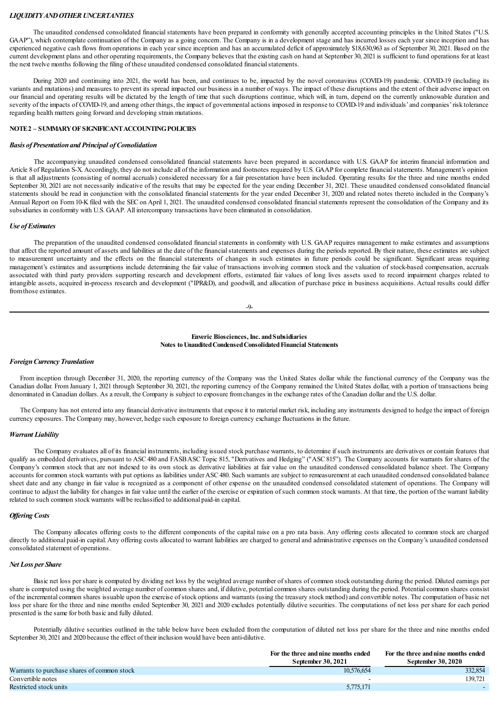## *LIQUIDITYANDOTHERUNCERTANTIES*

The unaudited condensed consolidated financial statements have been prepared in conformity with generally accepted accounting principles in the United States ("U.S. GAAP"), which contemplate continuation of the Company as a going concern. The Company is in a development stage and has incurred losses each year since inception and has experienced negative cash flows fromoperations in each year since inception and has an accumulated deficit of approximately \$18,630,963 as of September 30, 2021. Based on the current development plans and other operating requirements, the Company believes that the existing cash on hand at September 30, 2021 is sufficient to fund operations forat least the next twelve months following the filing of these unaudited condensed consolidated financialstatements.

During 2020 and continuing into 2021, the world has been, and continues to be, impacted by the novel coronavirus (COVID-19) pandemic. COVID-19 (including its variants and mutations) and measures to prevent its spread impacted our business in a number of ways. The impact of these disruptions and the extent of their adverse impact on our financial and operating results will be dictated by the length of time that such disruptions continue, which will, in turn, depend on the currently unknowable duration and severity of the impacts of COVID-19,and among other things, the impact of governmentalactions imposed in response to COVID-19 and individuals'and companies'risk tolerance regarding health matters going forward and developing strain mutations.

### **NOTE2 – SUMMARYOFSIGNIFICANTACCOUNTINGPOLICIES**

# *Basis of Presentation and Principal ofConsolidation*

The accompanying unaudited condensed consolidated financial statements have been prepared in accordance with U.S. GAAP for interim financial information and Article 8 of Regulation S-X. Accordingly, they do not include all of the information and footnotes required by U.S. GAAP for complete financial statements. Management's opinion is that all adjustments (consisting of normal accruals) considered necessary for a fair presentation have been included. Operating results for the three and nine months ended September 30, 2021 are not necessarily indicative of the results that may be expected for the year ending December 31, 2021. These unaudited condensed consolidated financial statements should be read in conjunction with the consolidated financial statements for the year ended December 31, 2020 and related notes thereto included in the Company's Annual Report on Form10-K filed with the SEC on April 1, 2021. The unaudited condensed consolidated financial statements represent the consolidation of the Company and its subsidiaries in conformity with U.S. GAAP. All intercompany transactions have been eliminated in consolidation.

### *Use ofEstimates*

The preparation of the unaudited condensed consolidated financial statements in conformity with U.S. GAAP requires management to make estimates and assumptions that affect the reported amount of assets and liabilities at the date of the financial statements and expenses during the periods reported. By their nature, these estimates are subject to measurement uncertainty and the effects on the financial statements of changes in such estimates in future periods could be significant. Significant areas requiring management's estimates and assumptions include determining the fair value of transactions involving common stock and the valuation of stock-based compensation, accruals associated with third party providers supporting research and development efforts, estimated fair values of long lives assets used to record impairment charges related to intangible assets, acquired in-process research and development ("IPR&D), and goodwill, and allocation of purchase price in business acquisitions. Actual results could differ fromthose estimates.

$$
-9-
$$

### **Enveric Biosciences, Inc. and Subsidiaries Notes to Unaudited Condensed Consolidated Financial Statements**

### *ForeignCurrency Translation*

From inception through December 31, 2020, the reporting currency of the Company was the United States dollar while the functional currency of the Company was the Canadian dollar. FromJanuary 1, 2021 through September 30, 2021, the reporting currency of the Company remained the United States dollar, with a portion of transactions being denominated in Canadian dollars. As a result, the Company is subject to exposure from changes in the exchange rates of the Canadian dollar and the U.S. dollar.

The Company has not entered into any financial derivative instruments that expose it to materialmarket risk, including any instruments designed to hedge the impact of foreign currency exposures. The Company may, however, hedge such exposure to foreign currency exchange fluctuations in the future.

### *Warrant Liability*

The Company evaluates all of its financial instruments, including issued stock purchase warrants, to determine if such instruments are derivatives orcontain features that qualify as embedded derivatives, pursuant to ASC 480 and FASBASC Topic 815, "Derivatives and Hedging" ("ASC 815"). The Company accounts for warrants for shares of the Company's common stock that are not indexed to its own stock as derivative liabilities at fair value on the unaudited condensed consolidated balance sheet. The Company accounts for common stock warrants with put options as liabilities under ASC 480. Such warrants are subject to remeasurement at each unaudited condensed consolidated balance sheet date and any change in fair value is recognized as a component of other expense on the unaudited condensed consolidated statement of operations. The Company will continue to adjust the liability forchanges in fair value until the earlier of the exercise orexpiration of such common stock warrants.At that time, the portion of the warrant liability related to such common stockwarrants will be reclassified to additional paid-in capital.

### *Of ering Costs*

The Company allocates offering costs to the different components of the capital raise on a pro rata basis. Any offering costs allocated to common stock are charged directly to additional paid-in capital.Any offering costs allocated to warrant liabilities are charged to generaland administrative expenses on the Company's unaudited condensed consolidated statement of operations.

### *Net Loss per Share*

Basic net loss pershare is computed by dividing net loss by the weighted average number ofshares ofcommon stock outstanding during the period. Diluted earnings per share is computed using the weighted average number ofcommon shares and, if dilutive, potentialcommon shares outstanding during the period. Potentialcommon shares consist of the incrementalcommon shares issuable upon the exercise of stock options and warrants (using the treasury stockmethod)and convertible notes. The computation of basic net loss per share for the three and nine months ended September 30, 2021 and 2020 excludes potentially dilutive securities. The computations of net loss per share for each period presented is the same for both basic and fully diluted.

Potentially dilutive securities outlined in the table below have been excluded from the computation of diluted net loss per share for the three and nine months ended September 30, 2021 and 2020 because the effect of their inclusion would have been anti-dilutive.

|                                             | For the three and nine months ended<br><b>September 30, 2021</b> | For the three and nine months ended<br><b>September 30, 2020</b> |
|---------------------------------------------|------------------------------------------------------------------|------------------------------------------------------------------|
| Warrants to purchase shares of common stock | 10.576.654                                                       | 332.854                                                          |
| Convertible notes                           |                                                                  | 139.721                                                          |
| Restricted stock units                      | 5,775,171                                                        |                                                                  |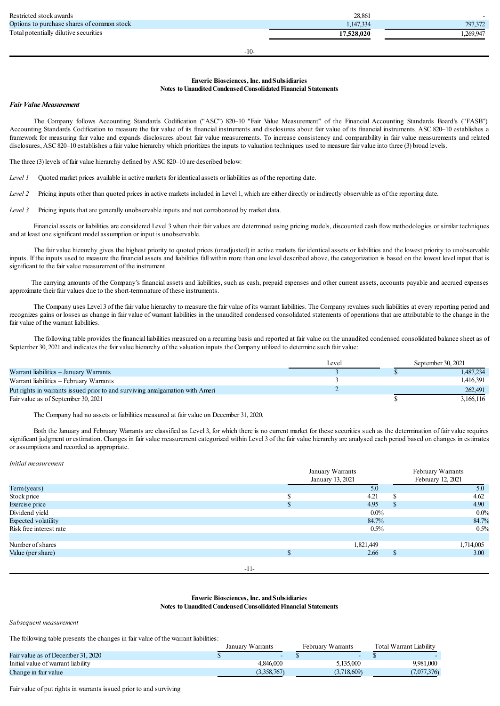| Restricted stock awards                    | 28.861     |          |
|--------------------------------------------|------------|----------|
| Options to purchase shares of common stock | 1.147.334  | 797,372  |
| Total potentially dilutive securities      | 17.528.020 | .269.947 |
|                                            |            |          |

-10-

# **Enveric Biosciences, Inc. and Subsidiaries Notes** to Unaudited Condensed Consolidated Financial Statements

# *Fair Value Measurement*

The Company follows Accounting Standards Codification ("ASC") 820–10 "Fair Value Measurement" of the Financial Accounting Standards Board's ("FASB") Accounting Standards Codification to measure the fair value of its financial instruments and disclosures about fair value of its financial instruments. ASC 820–10 establishes a framework for measuring fair value and expands disclosures about fair value measurements. To increase consistency and comparability in fair value measurements and related disclosures, ASC 820-10 establishes a fair value hierarchy which prioritizes the inputs to valuation techniques used to measure fair value into three (3) broad levels.

The three (3) levels of fair value hierarchy defined by ASC820–10 are described below:

*Level 1* Quoted market prices available in active markets for identical assets or liabilities as of the reporting date.

*Level 2* Pricing inputs other than quoted prices in active markets included in Level 1, which are either directly or indirectly observable as of the reporting date.

*Level 3* Pricing inputs that are generally unobservable inputs and not corroborated by market data.

Financial assets or liabilities are considered Level 3 when their fair values are determined using pricing models, discounted cash flow methodologies or similar techniques and at least one significant modelassumption or input is unobservable.

The fair value hierarchy gives the highest priority to quoted prices (unadjusted) in active markets for identicalassets or liabilities and the lowest priority to unobservable inputs. If the inputs used to measure the financial assets and liabilities fall within more than one level described above, the categorization is based on the lowest level input that is significant to the fair value measurement of the instrument.

The carrying amounts of the Company's financialassets and liabilities, such as cash, prepaid expenses and other current assets, accounts payable and accrued expenses approximate their fair values due to the short-termnature of these instruments.

The Company uses Level 3 of the fair value hierarchy to measure the fair value of its warrant liabilities. The Company revalues such liabilities at every reporting period and recognizes gains or losses as change in fair value of warrant liabilities in the unaudited condensed consolidated statements of operations that are attributable to the change in the fair value of the warrant liabilities.

The following table provides the financial liabilities measured on a recurring basis and reported at fair value on the unaudited condensed consolidated balance sheet as of September 30, 2021 and indicates the fair value hierarchy of the valuation inputs the Company utilized to determine such fair value:

|                                                                              | Level | September 30, 2021 |
|------------------------------------------------------------------------------|-------|--------------------|
| Warrant liabilities – January Warrants                                       |       | 1.487.234          |
| Warrant liabilities – February Warrants                                      |       | 1.416.391          |
| Put rights in warrants issued prior to and surviving amalgamation with Ameri |       | 262,491            |
| Fair value as of September 30, 2021                                          |       | 3.166.116          |

The Company had no assets or liabilities measured at fair value on December 31, 2020.

Both the January and February Warrants are classified as Level 3, for which there is no current market for these securities such as the determination of fair value requires significant judgment or estimation. Changes in fair value measurement categorized within Level 3 of the fair value hierarchy are analysed each period based on changes in estimates orassumptions and recorded as appropriate.

# *Initial measurement*

|                         |        | January Warrants<br>January 13, 2021 |               | February Warrants<br>February 12, 2021 |
|-------------------------|--------|--------------------------------------|---------------|----------------------------------------|
| Term (years)            |        | 5.0                                  |               | 5.0                                    |
| Stock price             |        | 4.21                                 | £.            | 4.62                                   |
| Exercise price          |        | 4.95                                 | S             | 4.90                                   |
| Dividend yield          |        | $0.0\%$                              |               | $0.0\%$                                |
| Expected volatility     |        | 84.7%                                |               | 84.7%                                  |
| Risk free interest rate |        | 0.5%                                 |               | $0.5\%$                                |
|                         |        |                                      |               |                                        |
| Number of shares        |        | 1,821,449                            |               | 1,714,005                              |
| Value (per share)       |        | 2.66                                 | <sup>\$</sup> | 3.00                                   |
|                         |        |                                      |               |                                        |
|                         | $-11-$ |                                      |               |                                        |

# **Enveric Biosciences, Inc. and Subsidiaries**

**Notes** to Unaudited Condensed Consolidated Financial Statements

### *Subsequent measurement*

The following table presents the changes in fair value of the warrant liabilities:

|                                    | <b>Warrants</b><br>Januarv |  | February Warrants | Total Warrant Liability |  |  |
|------------------------------------|----------------------------|--|-------------------|-------------------------|--|--|
| Fair value as of December 31, 2020 |                            |  |                   |                         |  |  |
| Initial value of warrant liability | 4,846,000                  |  | 5.135.000         | 9.981,000               |  |  |
| Change in fair value               | (3.358,767)                |  | 3.718.609         | (7,077,376)             |  |  |

Fair value of put rights in warrants issued prior to and surviving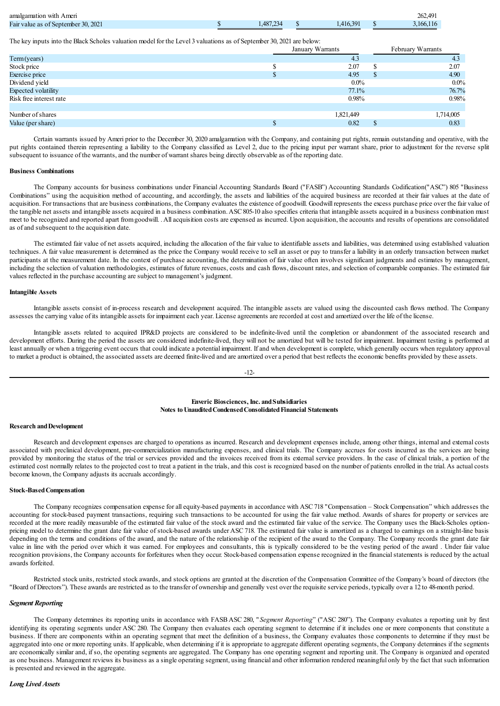| amalgamation with Ameri             |          |         | 262,491  |
|-------------------------------------|----------|---------|----------|
| Fair value as of September 30, 2021 | .487.234 | 416.391 | .166.116 |

The key inputs into the Black Scholes valuation model for the Level 3 valuations as of September 30, 2021 are below:

|           |                  | February Warrants |
|-----------|------------------|-------------------|
| 4.3       |                  | 4.3               |
| 2.07      |                  | 2.07              |
| 4.95      |                  | 4.90              |
| $0.0\%$   |                  | $0.0\%$           |
| 77.1%     |                  | 76.7%             |
| 0.98%     |                  | 0.98%             |
|           |                  |                   |
| 1,821,449 |                  | 1,714,005         |
| 0.82      |                  | 0.83              |
|           | January Warrants |                   |

Certain warrants issued by Ameri prior to the December 30, 2020 amalgamation with the Company, and containing put rights, remain outstanding and operative, with the put rights contained therein representing a liability to the Company classified as Level 2, due to the pricing input per warrant share, prior to adjustment for the reverse split subsequent to issuance of the warrants, and the number of warrant shares being directly observable as of the reporting date.

### **Business Combinations**

The Company accounts for business combinations under Financial Accounting Standards Board ("FASB") Accounting Standards Codification("ASC") 805 "Business Combinations" using the acquisition method of accounting, and accordingly, the assets and liabilities of the acquired business are recorded at their fair values at the date of acquisition. For transactions that are business combinations, the Company evaluates the existence of goodwill. Goodwill represents the excess purchase price over the fair value of the tangible net assets and intangible assets acquired in a business combination. ASC 805-10 also specifies criteria that intangible assets acquired in a business combination must meet to be recognized and reported apart fromgoodwill. .Allacquisition costs are expensed as incurred. Upon acquisition, the accounts and results of operations are consolidated as of and subsequent to the acquisition date.

The estimated fair value of net assets acquired, including the allocation of the fair value to identifiable assets and liabilities, was determined using established valuation techniques. A fair value measurement is determined as the price the Company would receive to sellan asset or pay to transfer a liability in an orderly transaction between market participants at the measurement date. In the context of purchase accounting, the determination of fair value often involves significant judgments and estimates by management, including the selection of valuation methodologies, estimates of future revenues, costs and cash flows, discount rates, and selection of comparable companies. The estimated fair values reflected in the purchase accounting are subject to management's judgment.

### **Intangible Assets**

Intangible assets consist of in-process research and development acquired. The intangible assets are valued using the discounted cash flows method. The Company assesses the carrying value of its intangible assets for impairment each year. License agreements are recorded at cost and amortized over the life of the license.

Intangible assets related to acquired IPR&D projects are considered to be indefinite-lived until the completion or abandonment of the associated research and development efforts. During the period the assets are considered indefinite-lived, they will not be amortized but will be tested for impairment. Impairment testing is performed at least annually or when a triggering event occurs that could indicate a potential impairment. Ifand when development is complete, which generally occurs when regulatory approval to market a product is obtained, the associated assets are deemed finite-lived and are amortized overa period that best reflects the economic benefits provided by these assets.

#### -12-

# **Enveric Biosciences, Inc. andSubsidiaries Notes** to Unaudited Condensed Consolidated Financial Statements

### **Research andDevelopment**

Research and development expenses are charged to operations as incurred. Research and development expenses include, among other things, internal and external costs associated with preclinical development, pre-commercialization manufacturing expenses, and clinical trials. The Company accrues for costs incurred as the services are being provided by monitoring the status of the trial or services provided and the invoices received from its external service providers. In the case of clinical trials, a portion of the estimated cost normally relates to the projected cost to treat a patient in the trials, and this cost is recognized based on the number of patients enrolled in the trial. As actual costs become known, the Company adjusts its accruals accordingly.

### **Stock-BasedCompensation**

The Company recognizes compensation expense for all equity-based payments in accordance with ASC 718 "Compensation – Stock Compensation" which addresses the accounting for stock-based payment transactions, requiring such transactions to be accounted for using the fair value method. Awards of shares for property or services are recorded at the more readily measurable of the estimated fair value of the stock award and the estimated fair value of the service. The Company uses the Black-Scholes optionpricing model to determine the grant date fair value of stock-based awards under ASC 718. The estimated fair value is amortized as a charged to earnings on a straight-line basis depending on the terms and conditions of the award, and the nature of the relationship of the recipient of the award to the Company. The Company records the grant date fair value in line with the period over which it was earned. For employees and consultants, this is typically considered to be the vesting period of the award . Under fair value recognition provisions, the Company accounts for forfeitures when they occur. Stock-based compensation expense recognized in the financialstatements is reduced by the actual awards forfeited.

Restricted stock units, restricted stock awards, and stock options are granted at the discretion of the Compensation Committee of the Company's board of directors (the "Board of Directors"). These awards are restricted as to the transfer of ownership and generally vest over the requisite service periods, typically overa 12 to 48-month period.

# *Segment Reporting*

The Company determines its reporting units in accordance with FASBASC 280, " *Segment Reporting*" ("ASC 280"). The Company evaluates a reporting unit by first identifying its operating segments under ASC 280. The Company then evaluates each operating segment to determine if it includes one or more components that constitute a business. If there are components within an operating segment that meet the definition of a business, the Company evaluates those components to determine if they must be aggregated into one or more reporting units. Ifapplicable, when determining if it is appropriate to aggregate different operating segments, the Company determines if the segments are economically similar and, if so, the operating segments are aggregated. The Company has one operating segment and reporting unit. The Company is organized and operated as one business. Management reviews its business as a single operating segment, using financialand other information rendered meaningful only by the fact that such information is presented and reviewed in the aggregate.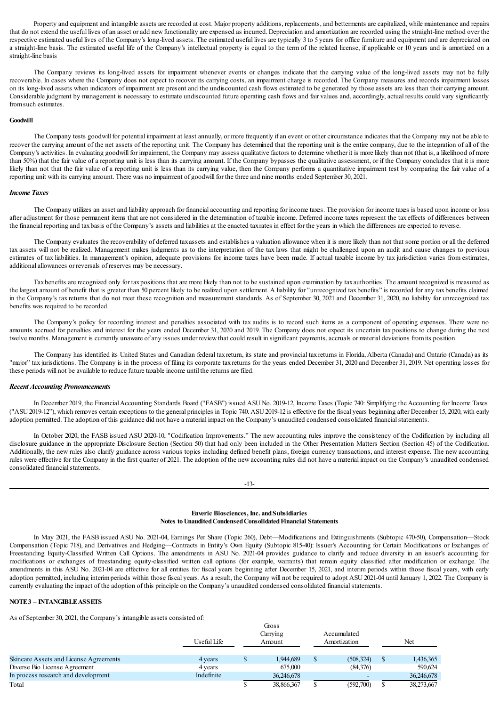Property and equipment and intangible assets are recorded at cost. Major property additions, replacements, and betterments are capitalized, while maintenance and repairs that do not extend the useful lives ofan asset oradd newfunctionality are expensed as incurred. Depreciation and amortization are recorded using the straight-line method over the respective estimated useful lives of the Company's long-lived assets. The estimated useful lives are typically 3 to 5 years for office furniture and equipment and are depreciated on a straight-line basis. The estimated useful life of the Company's intellectual property is equal to the term of the related license, if applicable or 10 years and is amortized on a straight-line basis

The Company reviews its long-lived assets for impairment whenever events or changes indicate that the carrying value of the long-lived assets may not be fully recoverable. In cases where the Company does not expect to recover its carrying costs, an impairment charge is recorded. The Company measures and records impairment losses on its long-lived assets when indicators of impairment are present and the undiscounted cash flows estimated to be generated by those assets are less than theircarrying amount. Considerable judgment by management is necessary to estimate undiscounted future operating cash flows and fair values and, accordingly, actual results could vary significantly fromsuch estimates.

# **Goodwill**

The Company tests goodwill for potential impairment at least annually, or more frequently if an event or other circumstance indicates that the Company may not be able to recover the carrying amount of the net assets of the reporting unit. The Company has determined that the reporting unit is the entire company, due to the integration of all of the Company's activities. In evaluating goodwill for impairment, the Company may assess qualitative factors to determine whether it is more likely than not (that is, a likelihood of more than 50%) that the fair value of a reporting unit is less than its carrying amount. If the Company bypasses the qualitative assessment, or if the Company concludes that it is more likely than not that the fair value of a reporting unit is less than its carrying value, then the Company performs a quantitative impairment test by comparing the fair value of a reporting unit with its carrying amount. There was no impairment of goodwill for the three and nine months ended September 30, 2021.

### *Income Taxes*

The Company utilizes an asset and liability approach for financial accounting and reporting for income taxes. The provision for income taxes is based upon income or loss after adjustment for those permanent items that are not considered in the determination of taxable income. Deferred income taxes represent the tax effects of differences between the financial reporting and taxbasis of the Company's assets and liabilities at the enacted taxrates in effect for the years in which the differences are expected to reverse.

The Company evaluates the recoverability of deferred taxassets and establishes a valuation allowance when it is more likely than not that some portion orall the deferred tax assets will not be realized. Management makes judgments as to the interpretation of the tax laws that might be challenged upon an audit and cause changes to previous estimates of tax liabilities. In management's opinion, adequate provisions for income taxes have been made. If actual taxable income by tax jurisdiction varies from estimates, additionalallowances or reversals of reserves may be necessary.

Taxbenefits are recognized only for taxpositions that are more likely than not to be sustained upon examination by taxauthorities. The amount recognized is measured as the largest amount of benefit that is greater than 50 percent likely to be realized upon settlement. A liability for "unrecognized tax benefits" is recorded for any tax benefits claimed in the Company's tax returns that do not meet these recognition and measurement standards. As of September 30, 2021 and December 31, 2020, no liability for unrecognized tax benefits was required to be recorded.

The Company's policy for recording interest and penalties associated with tax audits is to record such items as a component of operating expenses. There were no amounts accrued for penalties and interest for the years ended December 31, 2020 and 2019. The Company does not expect its uncertain tax positions to change during the next twelve months. Management is currently unaware of any issues under review that could result in significant payments, accruals or material deviations from its position.

The Company has identified its United States and Canadian federal tax return, its state and provincial tax returns in Florida,Alberta (Canada) and Ontario (Canada) as its "major" tax jurisdictions. The Company is in the process of filing its corporate tax returns for the years ended December 31, 2020 and December 31, 2019. Net operating losses for these periods will not be available to reduce future taxable income until the returns are filed.

# *Recent Accounting Pronouncements*

In December 2019, the Financial Accounting Standards Board ("FASB") issued ASU No. 2019-12, Income Taxes (Topic 740: Simplifying the Accounting for Income Taxes ("ASU2019-12"), which removes certain exceptions to the general principles in Topic 740. ASU2019-12 is effective for the fiscal years beginning after December 15, 2020, with early adoption permitted. The adoption of this guidance did not have a material impact on the Company's unaudited condensed consolidated financialstatements.

In October 2020, the FASB issued ASU 2020-10, "Codification Improvements." The new accounting rules improve the consistency of the Codification by including all disclosure guidance in the appropriate Disclosure Section (Section 50) that had only been included in the Other Presentation Matters Section (Section 45) of the Codification. Additionally, the new rules also clarify guidance across various topics including defined benefit plans, foreign currency transactions, and interest expense. The new accounting rules were effective for the Company in the first quarter of 2021. The adoption of the new accounting rules did not have a material impact on the Company's unaudited condensed consolidated financial statements.

| I<br>I<br><b>STATISTICS</b> |
|-----------------------------|
|-----------------------------|

# **Enveric Biosciences, Inc. and Subsidiaries Notes** to Unaudited Condensed Consolidated Financial Statements

In May 2021, the FASB issued ASU No. 2021-04, Earnings Per Share (Topic 260), Debt—Modifications and Extinguishments (Subtopic 470-50), Compensation—Stock Compensation (Topic 718), and Derivatives and Hedging—Contracts in Entity's Own Equity (Subtopic 815-40): Issuer's Accounting for Certain Modifications or Exchanges of Freestanding Equity-Classified Written Call Options. The amendments in ASU No. 2021-04 provides guidance to clarify and reduce diversity in an issuer's accounting for modifications or exchanges of freestanding equity-classified written call options (for example, warrants) that remain equity classified after modification or exchange. The amendments in this ASU No. 2021-04 are effective for all entities for fiscal years beginning after December 15, 2021, and interim periods within those fiscal years, with early adoption permitted, including interimperiods within those fiscal years.As a result, the Company will not be required to adopt ASU 2021-04 until January 1, 2022. The Company is currently evaluating the impact of the adoption of this principle on the Company's unaudited condensed consolidated financialstatements.

### **NOTE3 – INTANGIBLEASSETS**

As of September 30, 2021, the Company's intangible assets consisted of:

|                                        | Useful Life | Gross<br>Accumulated<br>Carrying<br>Amortization<br>Amount |            | Net        |            |
|----------------------------------------|-------------|------------------------------------------------------------|------------|------------|------------|
| Skincare Assets and License Agreements | 4 years     |                                                            | 1.944.689  | (508, 324) | 1,436,365  |
| Diverse Bio License Agreement          | 4 years     |                                                            | 675,000    | (84,376)   | 590,624    |
| In process research and development    | Indefinite  |                                                            | 36,246,678 |            | 36,246,678 |
| Total                                  |             |                                                            | 38,866,367 | (592,700)  | 38,273,667 |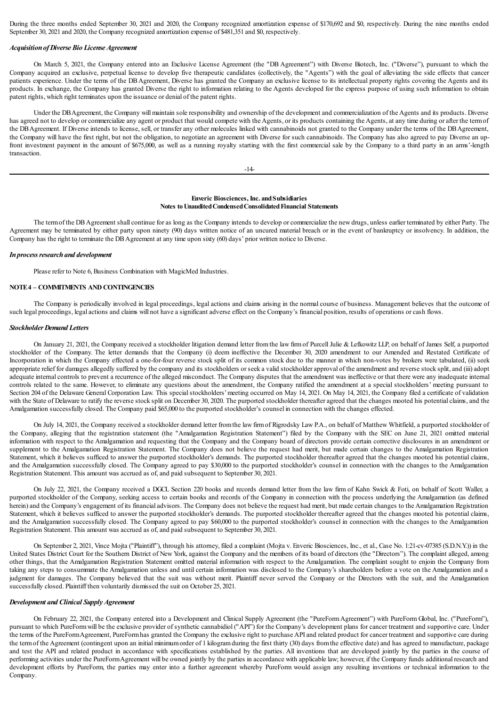During the three months ended September 30, 2021 and 2020, the Company recognized amortization expense of \$170,692 and \$0, respectively. During the nine months ended September 30, 2021 and 2020, the Company recognized amortization expense of \$481,351 and \$0, respectively.

#### *Acquisition ofDiverse Bio License Agreement*

On March 5, 2021, the Company entered into an Exclusive License Agreement (the "DB Agreement") with Diverse Biotech, Inc. ("Diverse"), pursuant to which the Company acquired an exclusive, perpetual license to develop five therapeutic candidates (collectively, the "Agents") with the goal of alleviating the side effects that cancer patients experience. Under the terms of the DBAgreement, Diverse has granted the Company an exclusive license to its intellectual property rights covering the Agents and its products. In exchange, the Company has granted Diverse the right to information relating to the Agents developed for the express purpose of using such information to obtain patent rights, which right terminates upon the issuance or denial of the patent rights.

Under the DBAgreement, the Company will maintain sole responsibility and ownership of the development and commercialization of the Agents and its products. Diverse has agreed not to develop or commercialize any agent or product that would compete with the Agents, or its products containing the Agents, at any time during or after the term of the DBAgreement. If Diverse intends to license, sell, or transferany other molecules linked with cannabinoids not granted to the Company under the terms of the DBAgreement, the Company will have the first right, but not the obligation, to negotiate an agreement with Diverse for such cannabinoids. The Company has also agreed to pay Diverse an upfront investment payment in the amount of \$675,000, as well as a running royalty starting with the first commercial sale by the Company to a third party in an arms'-length transaction.

-14-

# **Enveric Biosciences, Inc. and Subsidiaries Notes** to Unaudited Condensed Consolidated Financial Statements

The term of the DB Agreement shall continue for as long as the Company intends to develop or commercialize the new drugs, unless earlier terminated by either Party. The Agreement may be terminated by either party upon ninety (90) days written notice of an uncured material breach or in the event of bankruptcy or insolvency. In addition, the Company has the right to terminate the DBAgreement at any time upon sixty (60) days' prior written notice to Diverse.

### *In process research and development*

Please refer to Note 6, Business Combination with MagicMed Industries.

### **NOTE4 – COMMITMENTS ANDCONTINGENCIES**

The Company is periodically involved in legal proceedings, legal actions and claims arising in the normal course of business. Management believes that the outcome of such legal proceedings, legal actions and claims will not have a significant adverse effect on the Company's financial position, results of operations or cash flows.

# *StockholderDemand Letters*

On January 21, 2021, the Company received a stockholder litigation demand letter fromthe law firmof Purcell Julie & Lefkowitz LLP, on behalf of James Self, a purported stockholder of the Company. The letter demands that the Company (i) deem ineffective the December 30, 2020 amendment to our Amended and Restated Certificate of Incorporation in which the Company effected a one-for-four reverse stock split of its common stock due to the manner in which non-votes by brokers were tabulated, (ii) seek appropriate relief for damages allegedly suffered by the company and its stockholders or seek a valid stockholder approval of the amendment and reverse stock split, and (iii) adopt adequate internal controls to prevent a recurrence of the alleged misconduct. The Company disputes that the amendment was ineffective or that there were any inadequate internal controls related to the same. However, to eliminate any questions about the amendment, the Company ratified the amendment at a special stockholders' meeting pursuant to Section 204 of the Delaware General Corporation Law. This special stockholders' meeting occurred on May 14, 2021. On May 14, 2021, the Company filed a certificate of validation with the State of Delaware to ratify the reverse stock split on December 30, 2020. The purported stockholder thereafter agreed that the changes mooted his potential claims, and the Amalgamation successfully closed. The Company paid \$65,000 to the purported stockholder's counsel in connection with the changes effected.

On July 14, 2021, the Company received a stockholder demand letter fromthe law firmof Rigrodsky Law P.A., on behalf of Matthew Whitfield,a purported stockholder of the Company, alleging that the registration statement (the "Amalgamation Registration Statement") filed by the Company with the SEC on June 21, 2021 omitted material information with respect to the Amalgamation and requesting that the Company and the Company board of directors provide certain corrective disclosures in an amendment or supplement to the Amalgamation Registration Statement. The Company does not believe the request had merit, but made certain changes to the Amalgamation Registration Statement, which it believes sufficed to answer the purported stockholder's demands. The purported stockholder thereafter agreed that the changes mooted his potential claims, and the Amalgamation successfully closed. The Company agreed to pay \$30,000 to the purported stockholder's counsel in connection with the changes to the Amalgamation Registration Statement. This amount was accrued as of, and paid subsequent to September 30, 2021.

On July 22, 2021, the Company received a DGCL Section 220 books and records demand letter from the law firm of Kahn Swick & Foti, on behalf of Scott Waller, a purported stockholder of the Company, seeking access to certain books and records of the Company in connection with the process underlying the Amalgamation (as defined herein) and the Company's engagement of its financial advisors. The Company does not believe the request had merit, but made certain changes to the Amalgamation Registration Statement, which it believes sufficed to answer the purported stockholder's demands. The purported stockholder thereafter agreed that the changes mooted his potential claims, and the Amalgamation successfully closed. The Company agreed to pay \$60,000 to the purported stockholder's counsel in connection with the changes to the Amalgamation Registration Statement. This amount was accrued as of,and paid subsequent to September 30, 2021.

On September 2, 2021, Vince Mojta ("Plaintiff"), through his attorney, filed a complaint (Mojta v. Enveric Biosciences, Inc., et al., Case No. 1:21-cv-07385 (S.D.N.Y.)) in the United States District Court for the Southern District of New York, against the Company and the members of its board of directors (the "Directors"). The complaint alleged, among other things, that the Amalgamation Registration Statement omitted material information with respect to the Amalgamation. The complaint sought to enjoin the Company from taking any steps to consummate the Amalgamation unless and until certain information was disclosed to the Company's shareholders before a vote on the Amalgamation and a judgment for damages. The Company believed that the suit was without merit. Plaintiff never served the Company or the Directors with the suit, and the Amalgamation successfully closed. Plaintiff then voluntarily dismissed the suit on October 25, 2021.

### *Development and Clinical Supply Agreement*

On February 22, 2021, the Company entered into a Development and Clinical Supply Agreement (the "PureFormAgreement") with PureForm Global, Inc. ("PureForm"), pursuant to which PureFormwill be the exclusive provider of synthetic cannabidiol ("API") for the Company's development plans forcancer treatment and supportive care. Under the terms of the PureFormAgreement, PureFormhas granted the Company the exclusive right to purchase API and related product for cancer treatment and supportive care during the term of the Agreement (contingent upon an initial minimum order of 1 kilogram during the first thirty (30) days from the effective date) and has agreed to manufacture, package and test the API and related product in accordance with specifications established by the parties. All inventions that are developed jointly by the parties in the course of performing activities under the PureFormAgreement will be owned jointly by the parties in accordance with applicable law; however, if the Company funds additional research and development efforts by PureForm, the parties may enter into a further agreement whereby PureForm would assign any resulting inventions or technical information to the Company.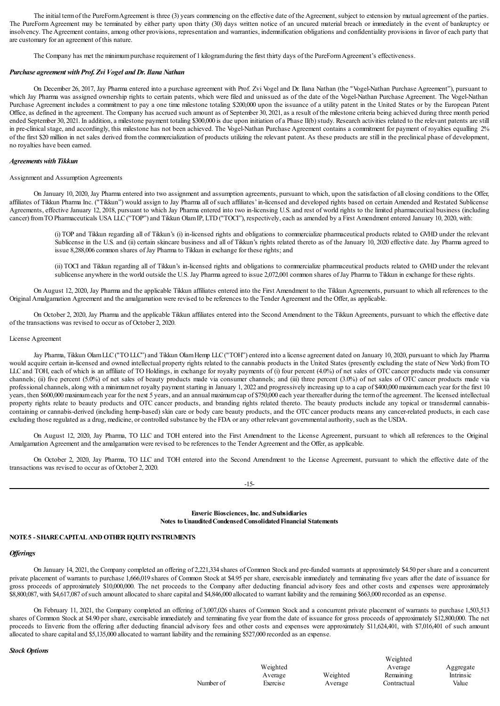The initial term of the PureFormAgreement is three (3) years commencing on the effective date of the Agreement, subject to extension by mutual agreement of the parties. The PureForm Agreement may be terminated by either party upon thirty (30) days written notice of an uncured material breach or immediately in the event of bankruptcy or insolvency. The Agreement contains,among other provisions, representation and warranties, indemnification obligations and confidentiality provisions in favor ofeach party that are customary foran agreement of this nature.

The Company has met the minimumpurchase requirement of 1 kilogramduring the first thirty days of the PureFormAgreement's effectiveness.

## *Purchase agreement withProf. Zvi Vogel and Dr.Ilana Nathan*

On December 26, 2017, Jay Pharma entered into a purchase agreement with Prof. Zvi Vogel and Dr. Ilana Nathan (the "Vogel-Nathan Purchase Agreement"), pursuant to which Jay Pharma was assigned ownership rights to certain patents, which were filed and unissued as of the date of the Vogel-Nathan Purchase Agreement. The Vogel-Nathan Purchase Agreement includes a commitment to pay a one time milestone totaling \$200,000 upon the issuance of a utility patent in the United States or by the European Patent Office, as defined in the agreement. The Company has accrued such amount as of September 30, 2021, as a result of the milestone criteria being achieved during three month period ended September 30, 2021. In addition, a milestone payment totaling \$300,000 is due upon initiation of a Phase II(b) study. Research activities related to the relevant patents are still in pre-clinical stage, and accordingly, this milestone has not been achieved. The Vogel-Nathan Purchase Agreement contains a commitment for payment of royalties equalling 2% of the first \$20 million in net sales derived fromthe commercialization of products utilizing the relevant patent. As these products are still in the preclinical phase of development, no royalties have been earned.

### *Agreements withTikkun*

# Assignment and Assumption Agreements

On January 10, 2020, Jay Pharma entered into two assignment and assumption agreements, pursuant to which, upon the satisfaction ofallclosing conditions to the Offer, affiliates of Tikkun Pharma Inc. ("Tikkun") would assign to Jay Pharma all of such affiliates'in-licensed and developed rights based on certain Amended and Restated Sublicense Agreements, effective January 12, 2018, pursuant to which Jay Pharma entered into two in-licensing U.S. and rest of world rights to the limited pharmaceutical business (including cancer) fromTOPharmaceuticals USA LLC("TOP")and Tikkun OlamIP, LTD("TOCI"), respectively,each as amended by a First Amendment entered January 10, 2020, with:

(i) TOP and Tikkun regarding all of Tikkun's (i) in-licensed rights and obligations to commercialize pharmaceutical products related to GVHD under the relevant Sublicense in the U.S. and (ii) certain skincare business and all of Tikkun's rights related thereto as of the January 10, 2020 effective date. Jay Pharma agreed to issue 8,288,006 common shares of Jay Pharma to Tikkun in exchange for these rights; and

(ii) TOCI and Tikkun regarding all of Tikkun's in-licensed rights and obligations to commercialize pharmaceutical products related to GVHD under the relevant sublicense anywhere in the world outside the U.S. Jay Pharma agreed to issue 2,072,001 common shares of Jay Pharma to Tikkun in exchange for these rights.

On August 12, 2020, Jay Pharma and the applicable Tikkun affiliates entered into the First Amendment to the Tikkun Agreements, pursuant to which all references to the OriginalAmalgamation Agreement and the amalgamation were revised to be references to the Tender Agreement and the Offer,as applicable.

On October 2, 2020, Jay Pharma and the applicable Tikkun affiliates entered into the Second Amendment to the Tikkun Agreements, pursuant to which the effective date of the transactions was revised to occuras of October 2, 2020.

### License Agreement

Jay Pharma, Tikkun Olam LLC ("TO LLC") and Tikkun Olam Hemp LLC ("TOH") entered into a license agreement dated on January 10, 2020, pursuant to which Jay Pharma would acquire certain in-licensed and owned intellectual property rights related to the cannabis products in the United States (presently excluding the state of New York) fromTO LLC and TOH, each of which is an affiliate of TO Holdings, in exchange for royalty payments of (i) four percent (4.0%) of net sales of OTC cancer products made via consumer channels; (ii) five percent (5.0%) of net sales of beauty products made via consumer channels; and (iii) three percent (3.0%) of net sales of OTC cancer products made via professional channels, along with a minimum net royalty payment starting in January 1, 2022 and progressively increasing up to a cap of \$400,000 maximum each year for the first 10 years, then \$600,000 maximum each year for the next 5 years, and an annual maximum cap of \$750,000 each year thereafter during the term of the agreement. The licensed intellectual property rights relate to beauty products and OTC cancer products, and branding rights related thereto. The beauty products include any topical or transdermal cannabiscontaining or cannabis-derived (including hemp-based) skin care or body care beauty products, and the OTC cancer products means any cancer-related products, in each case excluding those regulated as a drug, medicine, orcontrolled substance by the FDA orany other relevant governmentalauthority, such as the USDA.

On August 12, 2020, Jay Pharma, TO LLC and TOH entered into the First Amendment to the License Agreement, pursuant to which all references to the Original Amalgamation Agreement and the amalgamation were revised to be references to the Tender Agreement and the Offer, as applicable.

On October 2, 2020, Jay Pharma, TO LLC and TOH entered into the Second Amendment to the License Agreement, pursuant to which the effective date of the transactions was revised to occuras of October 2, 2020.

-15-

**Enveric Biosciences, Inc. and Subsidiaries Notes** to Unaudited Condensed Consolidated Financial Statements

# **NOTE5 - SHARECAPITALANDOTHEREQUITYINSTRUMENTS**

### *Of erings*

On January 14, 2021, the Company completed an offering of 2,221,334 shares of Common Stock and pre-funded warrants at approximately \$4.50 per share and a concurrent private placement of warrants to purchase 1,666,019 shares of Common Stock at \$4.95 per share, exercisable immediately and terminating five years after the date of issuance for gross proceeds of approximately \$10,000,000. The net proceeds to the Company after deducting financial advisory fees and other costs and expenses were approximately \$8,800,087, with \$4,617,087 ofsuch amount allocated to share capitaland \$4,846,000 allocated to warrant liability and the remaining \$663,000 recorded as an expense.

On February 11, 2021, the Company completed an offering of 3,007,026 shares of Common Stock and a concurrent private placement of warrants to purchase 1,503,513 shares of Common Stock at \$4.90 per share, exercisable immediately and terminating five year fromthe date of issuance for gross proceeds of approximately \$12,800,000. The net proceeds to Enveric from the offering after deducting financial advisory fees and other costs and expenses were approximately \$11,624,401, with \$7,016,401 of such amount allocated to share capitaland \$5,135,000 allocated to warrant liability and the remaining \$527,000 recorded as an expense.

### *Stock Options*

Number of

Weighted Average Exercise

Weighted Average

Weighted Average Remaining **Contractual** 

Aggregate Intrinsic Value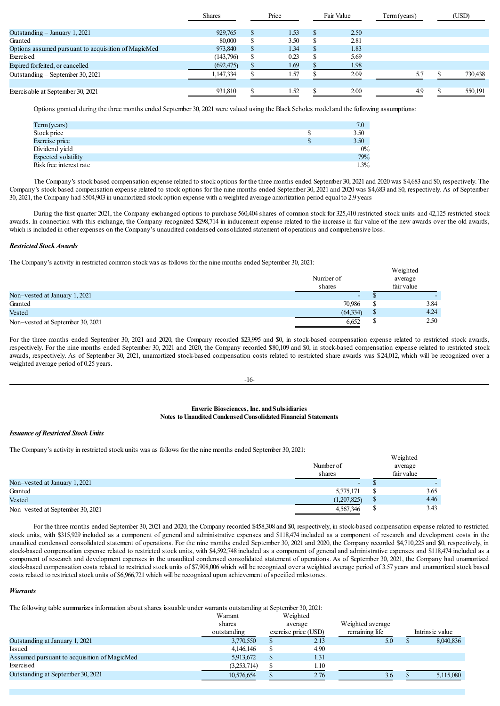|                                                     | <b>Shares</b> | Price |      | Fair Value |      | Term (years) | (USD)   |
|-----------------------------------------------------|---------------|-------|------|------------|------|--------------|---------|
|                                                     |               |       |      |            |      |              |         |
| Outstanding – January 1, 2021                       | 929,765       |       | 1.53 |            | 2.50 |              |         |
| Granted                                             | 80,000        |       | 3.50 |            | 2.81 |              |         |
| Options assumed pursuant to acquisition of MagicMed | 973,840       | S     | 1.34 |            | 1.83 |              |         |
| Exercised                                           | (143,796)     |       | 0.23 |            | 5.69 |              |         |
| Expired forfeited, or cancelled                     | (692, 475)    |       | 1.69 |            | 1.98 |              |         |
| Outstanding – September 30, 2021                    | 1,147,334     |       | 1.57 |            | 2.09 | 5.7          | 730,438 |
|                                                     |               |       |      |            |      |              |         |
| Exercisable at September 30, 2021                   | 931,810       |       | 1.52 |            | 2.00 | 4.9          | 550,191 |

Options granted during the three months ended September 30, 2021 were valued using the Black Scholes model and the following assumptions:

| Term (years)            | 7.0   |
|-------------------------|-------|
| Stock price             | 3.50  |
| Exercise price          | 3.50  |
| Dividend yield          | $0\%$ |
| Expected volatility     | 79%   |
| Risk free interest rate | 1.3%  |

The Company's stock based compensation expense related to stock options for the three months ended September 30, 2021 and 2020was \$4,683 and \$0, respectively. The Company's stock based compensation expense related to stock options for the nine months ended September 30, 2021 and 2020 was \$4,683 and \$0, respectively. As of September 30, 2021, the Company had \$504,903 in unamortized stock option expense with a weighted average amortization period equal to 2.9 years

During the first quarter 2021, the Company exchanged options to purchase 560,404 shares of common stock for 325,410 restricted stock units and 42,125 restricted stock awards. In connection with this exchange, the Company recognized \$298,714 in inducement expense related to the increase in fair value of the new awards over the old awards, which is included in other expenses on the Company's unaudited condensed consolidated statement of operations and comprehensive loss.

Weighted

Weighted

### *Restricted Stock Awards*

The Company's activity in restricted common stockwas as follows for the nine months ended September 30, 2021:

|                                  | Number of<br>shares      | <i>v</i> cignica<br>average<br>fair value |  |  |  |
|----------------------------------|--------------------------|-------------------------------------------|--|--|--|
| Non-vested at January 1, 2021    | $\overline{\phantom{0}}$ |                                           |  |  |  |
| Granted                          | 70.986                   | 3.84                                      |  |  |  |
| Vested                           | (64, 334)                | 4.24                                      |  |  |  |
| Non-vested at September 30, 2021 | 6,652                    | 2.50                                      |  |  |  |

For the three months ended September 30, 2021 and 2020, the Company recorded \$23,995 and \$0, in stock-based compensation expense related to restricted stock awards, respectively. For the nine months ended September 30, 2021 and 2020, the Company recorded \$80,109 and \$0, in stock-based compensation expense related to restricted stock awards, respectively. As of September 30, 2021, unamortized stock-based compensation costs related to restricted share awards was \$24,012, which will be recognized over a weighted average period of 0.25 years.

-16-

# **Enveric Biosciences, Inc. andSubsidiaries Notes** to Unaudited Condensed Consolidated Financial Statements

# *Issuance ofRestricted Stock Units*

The Company's activity in restricted stock units was as follows for the nine months ended September 30, 2021:

|                                  | Number of<br>shares |    | Weighted<br>average<br>fair value |
|----------------------------------|---------------------|----|-----------------------------------|
| Non-vested at January 1, 2021    | -                   | ۰D |                                   |
| Granted                          | 5,775,171           |    | 3.65                              |
| Vested                           | (1,207,825)         | \$ | 4.46                              |
| Non-vested at September 30, 2021 | 4,567,346           | \$ | 3.43                              |

For the three months ended September 30, 2021 and 2020, the Company recorded \$458,308 and \$0, respectively, in stock-based compensation expense related to restricted stock units, with \$315,929 included as a component of general and administrative expenses and \$118,474 included as a component of research and development costs in the unaudited condensed consolidated statement of operations. For the nine months ended September 30, 2021 and 2020, the Company recorded \$4,710,225 and \$0, respectively, in stock-based compensation expense related to restricted stock units, with \$4,592,748 included as a component of general and administrative expenses and \$118,474 included as a component of research and development expenses in the unaudited condensed consolidated statement of operations. As of September 30, 2021, the Company had unamortized stock-based compensation costs related to restricted stock units of \$7,908,006 which will be recognized over a weighted average period of 3.57 years and unamortized stock based costs related to restricted stock units of \$6,966,721 which will be recognized upon achievement of specified milestones.

# *Warrants*

The following table summarizes information about shares issuable under warrants outstanding at September 30, 2021:

|                                             | Warrant<br>shares<br>outstanding | Weighted<br>average<br>exercise price (USD) |      | Weighted average<br>remaining life | Intrinsic value |
|---------------------------------------------|----------------------------------|---------------------------------------------|------|------------------------------------|-----------------|
| Outstanding at January 1, 2021              | 3,770,550                        |                                             | 2.13 | 5.0                                | 8,040,836       |
| Issued                                      | 4,146,146                        |                                             | 4.90 |                                    |                 |
| Assumed pursuant to acquisition of MagicMed | 5,913,672                        |                                             | 1.31 |                                    |                 |
| Exercised                                   | (3,253,714)                      |                                             | 1.10 |                                    |                 |
| Outstanding at September 30, 2021           | 10,576,654                       |                                             | 2.76 | 3.6                                | 5.115.080       |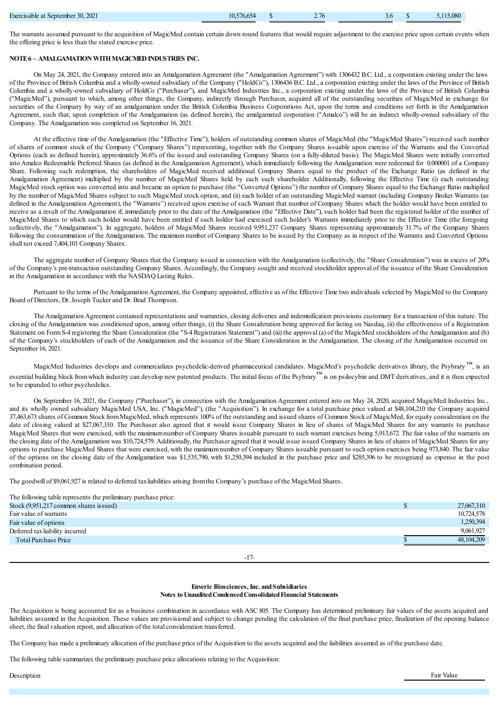| 2021<br>-<br>30<br>Exercisable<br>e at Sentember i<br>$\mathbf{L}$ | $\frac{1}{2}$<br>70.02 | $-$<br>2.76 | . n<br>$J_{\rm c}$ | 5.080 |  |
|--------------------------------------------------------------------|------------------------|-------------|--------------------|-------|--|
|                                                                    |                        |             |                    |       |  |

The warrants assumed pursuant to the acquisition of MagicMed contain certain down round features that would require adjustment to the exercise price upon certain events when the offering price is less than the stated exercise price.

# **NOTE6 – AMALGAMATION WITHMAGICMEDINDUSTRIES INC.**

On May 24, 2021, the Company entered into an Amalgamation Agreement (the "Amalgamation Agreement") with 1306432 B.C. Ltd., a corporation existing under the laws of the Province of British Columbia and a wholly-owned subsidiary of the Company ("HoldCo"), 1306436 B.C. Ltd., a corporation existing under the laws of the Province of British Columbia and a wholly-owned subsidiary of HoldCo ("Purchaser"), and MagicMed Industries Inc., a corporation existing under the laws of the Province of British Columbia ("MagicMed"), pursuant to which, among other things, the Company, indirectly through Purchaser, acquired all of the outstanding securities of MagicMed in exchange for securities of the Company by way of an amalgamation under the British Columbia Business Corporations Act, upon the terms and conditions set forth in the Amalgamation Agreement, such that, upon completion of the Amalgamation (as defined herein), the amalgamated corporation ("Amalco") will be an indirect wholly-owned subsidiary of the Company. The Amalgamation was completed on September 16, 2021.

At the effective time of the Amalgamation (the "Effective Time"), holders of outstanding common shares of MagicMed (the "MagicMed Shares") received such number of shares of common stock of the Company ("Company Shares") representing, together with the Company Shares issuable upon exercise of the Warrants and the Converted Options (each as defined herein), approximately 36.6% of the issued and outstanding Company Shares (on a fully-diluted basis). The MagicMed Shares were initially converted into Amalco Redeemable Preferred Shares (as defined in the Amalgamation Agreement), which immediately following the Amalgamation were redeemed for 0.000001 of a Company Share. Following such redemption, the shareholders of MagicMed received additional Company Shares equal to the product of the Exchange Ratio (as defined in the Amalgamation Agreement) multiplied by the number of MagicMed Shares held by each such shareholder. Additionally, following the Effective Time (i) each outstanding MagicMed stock option was converted into and became an option to purchase (the "Converted Options") the number of Company Shares equal to the Exchange Ratio multiplied by the number of MagicMed Shares subject to such MagicMed stock option, and (ii) each holder of an outstanding MagicMed warrant (including Company Broker Warrants (as defined in the Amalgamation Agreement), the "Warrants") received upon exercise of such Warrant that number of Company Shares which the holder would have been entitled to receive as a result of the Amalgamation if, immediately prior to the date of the Amalgamation (the "Effective Date"), such holder had been the registered holder of the number of MagicMed Shares to which such holder would have been entitled if such holder had exercised such holder's Warrants immediately prior to the Effective Time (the foregoing collectively, the "Amalgamation"). In aggregate, holders of MagicMed Shares received 9,951,237 Company Shares representing approximately 31.7% of the Company Shares following the consummation of the Amalgamation. The maximum number of Company Shares to be issued by the Company as in respect of the Warrants and Converted Options shall not exceed 7,404,101 Company Shares.

The aggregate number of Company Shares that the Company issued in connection with the Amalgamation (collectively, the "Share Consideration") was in excess of 20% of the Company's pre-transaction outstanding Company Shares.Accordingly, the Company sought and received stockholderapproval of the issuance of the Share Consideration in the Amalgamation in accordance with the NASDAQ Listing Rules.

Pursuant to the terms of the Amalgamation Agreement, the Company appointed, effective as of the Effective Time two individuals selected by MagicMed to the Company Board of Directors, Dr. Joseph Tuckerand Dr. Brad Thompson.

The Amalgamation Agreement contained representations and warranties, closing deliveries and indemnification provisions customary for a transaction of this nature. The closing of the Amalgamation was conditioned upon, among other things, (i) the Share Consideration being approved for listing on Nasdaq, (ii) the effectiveness of a Registration Statement on Form S-4 registering the Share Consideration (the "S-4 Registration Statement") and (iii) the approval (a) of the MagicMed stockholders of the Amalgamation and (b) of the Company's stockholders of each of the Amalgamation and the issuance of the Share Consideration in the Amalgamation. The closing of the Amalgamation occurred on September 16, 2021.

MagicMed Industries develops and commercializes psychedelic-derived pharmaceutical candidates. MagicMed's psychedelic derivatives library, the Psybrary<sup>™</sup>, is an essential building block from which industry can develop new patented products. The initial focus of the Psybrary™ is on psilocybin and DMT derivatives, and it is then expected to be expanded to other psychedelics.

On September 16, 2021, the Company ("Purchaser"), in connection with the Amalgamation Agreement entered into on May 24, 2020, acquired MagicMed Industries Inc., and its wholly owned subsidiary MagicMed USA, Inc. ("MagicMed"), (the "Acquisition"). In exchange for a total purchase price valued at \$48,104,210 the Company acquired 37,463,673 shares of Common Stock fromMagicMed, which represents 100% of the outstanding and issued shares of Common Stock of MagicMed, forequity consideration on the date of closing valued at \$27,067,310. The Purchaser also agreed that it would issue Company Shares in lieu of shares of MagicMed Shares for any warrants to purchase MagicMed Shares that were exercised, with the maximum number of Company Shares issuable pursuant to such warrant exercises being 5,913,672. The fair value of the warrants on the closing date of the Amalgamation was \$10,724,579. Additionally, the Purchaser agreed that it would issue issued Company Shares in lieu of shares of MagicMed Shares for any options to purchase MagicMed Shares that were exercised, with the maximumnumber of Company Shares issuable pursuant to such option exercises being 973,840. The fair value of the options on the closing date of the Amalgamation was \$1,535,790, with \$1,250,394 included in the purchase price and \$285,396 to be recognized as expense in the post combination period.

The goodwill of \$9,061,927 is related to deferred taxliabilities arising fromthe Company's purchase of the MagicMed Shares.

| The following table represents the preliminary purchase price: |            |
|----------------------------------------------------------------|------------|
| Stock (9,951,217 common shares issued)                         | 27,067,310 |
| Fair value of warrants                                         | 10,724,578 |
| Fair value of options                                          | 1,250,394  |
| Deferred tax liability incurred                                | 9,061,927  |
| <b>Total Purchase Price</b>                                    | 48,104,209 |
|                                                                |            |

-17-

### **Enveric Biosciences, Inc. andSubsidiaries Notes** to Unaudited Condensed Consolidated Financial Statements

The Acquisition is being accounted for as a business combination in accordance with ASC 805. The Company has determined preliminary fair values of the assets acquired and liabilities assumed in the Acquisition. These values are provisional and subject to change pending the calculation of the final purchase price, finalization of the opening balance sheet, the final valuation report, and allocation of the total consideration transferred.

The Company has made a preliminary allocation of the purchase price of the Acquisition to the assets acquired and the liabilities assumed as of the purchase date.

The following table summarizes the preliminary purchase price allocations relating to the Acquisition:

**Description** Fair Value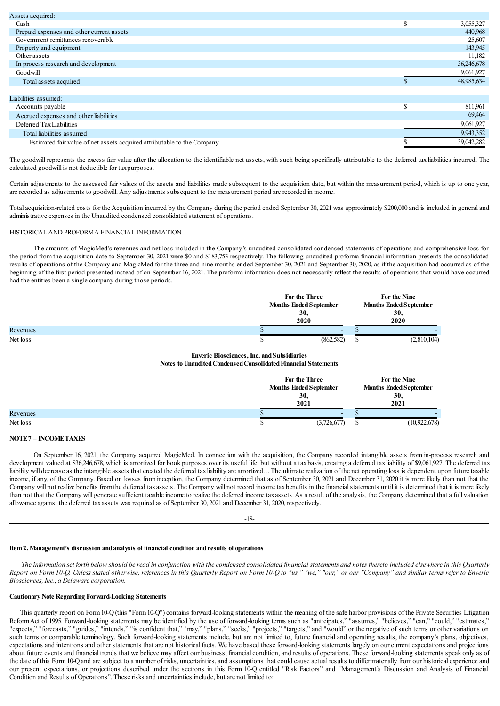| Assets acquired:                                                        |   |            |
|-------------------------------------------------------------------------|---|------------|
| Cash                                                                    | ъ | 3,055,327  |
| Prepaid expenses and other current assets                               |   | 440,968    |
| Government remittances recoverable                                      |   | 25,607     |
| Property and equipment                                                  |   | 143,945    |
| Other assets                                                            |   | 11,182     |
| In process research and development                                     |   | 36,246,678 |
| Goodwill                                                                |   | 9,061,927  |
| Total assets acquired                                                   |   | 48,985,634 |
|                                                                         |   |            |
| Liabilities assumed:                                                    |   |            |
| Accounts payable                                                        | S | 811,961    |
| Accrued expenses and other liabilities                                  |   | 69,464     |
| Deferred Tax Liabilities                                                |   | 9,061,927  |
| Total liabilities assumed                                               |   | 9,943,352  |
| Estimated fair value of net assets acquired attributable to the Company |   | 39,042,282 |
|                                                                         |   |            |

The goodwill represents the excess fair value after the allocation to the identifiable net assets, with such being specifically attributable to the deferred tax liabilities incurred. The calculated goodwill is not deductible for taxpurposes.

Certain adjustments to the assessed fair values of the assets and liabilities made subsequent to the acquisition date, but within the measurement period, which is up to one year, are recorded as adjustments to goodwill. Any adjustments subsequent to the measurement period are recorded in income.

Total acquisition-related costs for the Acquisition incurred by the Company during the period ended September 30, 2021 was approximately \$200,000 and is included in general and administrative expenses in the Unaudited condensed consolidated statement of operations.

## HISTORICAL AND PROFORMA FINANCIAL INFORMATION

The amounts of MagicMed's revenues and net loss included in the Company's unaudited consolidated condensed statements of operations and comprehensive loss for the period fromthe acquisition date to September 30, 2021 were \$0 and \$183,753 respectively. The following unaudited proforma financial information presents the consolidated results of operations of the Company and MagicMed for the three and nine months ended September 30, 2021 and September 30, 2020, as if the acquisition had occurred as of the beginning of the first period presented instead of on September 16, 2021. The proforma information does not necessarily reflect the results of operations that would have occurred had the entities been a single company during those periods.

|          | For the Three                 | For the Nine                  |
|----------|-------------------------------|-------------------------------|
|          | <b>Months Ended September</b> | <b>Months Ended September</b> |
|          | 30,                           | 30,                           |
|          | 2020                          | 2020                          |
| Revenues | -                             |                               |
| Net loss | (862, 582)                    | (2,810,104)                   |

# **Enveric Biosciences, Inc. andSubsidiaries Notes** to Unaudited Condensed Consolidated Financial Statements

|          | For the Three<br><b>Months Ended September</b><br>30, |             | For the Nine<br><b>Months Ended September</b> |              |
|----------|-------------------------------------------------------|-------------|-----------------------------------------------|--------------|
|          |                                                       |             |                                               |              |
|          |                                                       |             |                                               | 30,          |
|          | 2021                                                  |             |                                               | 2021         |
| Revenues |                                                       |             |                                               |              |
| Net loss |                                                       | (3,726,677) |                                               | (10,922,678) |

# **NOTE7 – INCOMETAXES**

On September 16, 2021, the Company acquired MagicMed. In connection with the acquisition, the Company recorded intangible assets from in-process research and development valued at \$36,246,678, which is amortized for book purposes over its useful life, but without a tax basis, creating a deferred tax liability of \$9,061,927. The deferred tax liability will decrease as the intangible assets that created the deferred tax liability are amortized. .. The ultimate realization of the net operating loss is dependent upon future taxable income, if any, of the Company. Based on losses frominception, the Company determined that as of September 30, 2021 and December 31, 2020 it is more likely than not that the Company will not realize benefits fromthe deferred taxassets. The Company will not record income taxbenefits in the financialstatements until it is determined that it is more likely than not that the Company will generate sufficient taxable income to realize the deferred income taxassets.As a result of the analysis, the Company determined that a full valuation allowance against the deferred taxassets was required as of September 30, 2021 and December 31, 2020, respectively.

-18-

# **Item2. Management's discussion andanalysis of financial condition andresults of operations**

The information set forth below should be read in conjunction with the condensed consolidated financial statements and notes thereto included elsewhere in this Quarterly Report on Form 10-O. Unless stated otherwise, references in this Quarterly Report on Form 10-O to "us," "we," "our," or our "Company" and similar terms refer to Enveric *Biosciences, Inc., a Delaware corporation.*

# **CautionaryNote Regarding Forward-Looking Statements**

This quarterly report on Form10-Q(this "Form10-Q")contains forward-looking statements within the meaning of the safe harbor provisions of the Private Securities Litigation ReformAct of 1995. Forward-looking statements may be identified by the use of forward-looking terms such as "anticipates," "assumes," "believes," "can," "could," "estimates," "expects," "forecasts," "guides," "intends," "is confident that," "may," "plans," "seeks," "projects," "targets," and "would" or the negative of such terms or other variations on such terms or comparable terminology. Such forward-looking statements include, but are not limited to, future financial and operating results, the company's plans, objectives, expectations and intentions and other statements that are not historical facts. We have based these forward-looking statements largely on our current expectations and projections about future events and financial trends that we believe may affect our business, financial condition, and results of operations. These forward-looking statements speak only as of the date of this Form 10-Q and are subject to a number of risks, uncertainties, and assumptions that could cause actual results to differ materially from our historical experience and our present expectations, or projections described under the sections in this Form 10-Q entitled "Risk Factors" and "Management's Discussion and Analysis of Financial Condition and Results of Operations". These risks and uncertainties include, but are not limited to: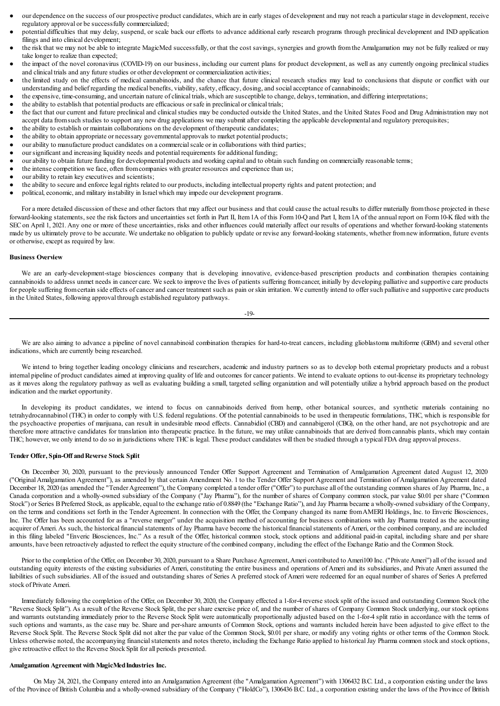- our dependence on the success of our prospective product candidates, which are in early stages of development and may not reach a particular stage in development, receive regulatory approval or be successfully commercialized;
- potential difficulties that may delay, suspend, or scale back our efforts to advance additional early research programs through preclinical development and IND application filings and into clinical development;
- the risk that we may not be able to integrate MagicMed successfully, or that the cost savings, synergies and growth from the Amalgamation may not be fully realized or may take longer to realize than expected;
- the impact of the novel coronavirus (COVID-19) on our business, including our current plans for product development, as well as any currently ongoing preclinical studies and clinical trials and any future studies or other development orcommercialization activities;
- the limited study on the effects of medical cannabinoids, and the chance that future clinical research studies may lead to conclusions that dispute or conflict with our understanding and belief regarding the medical benefits, viability, safety, efficacy, dosing, and social acceptance of cannabinoids;
- the expensive, time-consuming, and uncertain nature of clinical trials, which are susceptible to change, delays, termination, and differing interpretations;
- the ability to establish that potential products are efficacious or safe in preclinical or clinical trials;
- the fact that our current and future preclinical and clinical studies may be conducted outside the United States, and the United States Food and Drug Administration may not accept data from such studies to support any new drug applications we may submit after completing the applicable developmental and regulatory prerequisites;
- the ability to establish or maintain collaborations on the development of therapeutic candidates;
- the ability to obtain appropriate or necessary governmental approvals to market potential products;
- ourability to manufacture product candidates on a commercialscale or in collaborations with third parties;
- our significant and increasing liquidity needs and potential requirements for additional funding;<br>● our ability to obtain future funding for developmental products and working capital and to obtain
- our ability to obtain future funding for developmental products and working capital and to obtain such funding on commercially reasonable terms;<br>● the intense connectition we face, often from companies with greater reso
- the intense competition we face, often from companies with greater resources and experience than us;
- ourability to retain key executives and scientists;
- the ability to secure and enforce legal rights related to our products, including intellectual property rights and patent protection; and
- political, economic, and military instability in Israel which may impede our development programs.

For a more detailed discussion of these and other factors that may affect our business and that could cause the actual results to differ materially from those projected in these forward-looking statements, see the risk factors and uncertainties set forth in Part II, Item 1A of this Form 10-Q and Part I, Item 1A of the annual report on Form 10-K filed with the SEC on April 1, 2021. Any one or more of these uncertainties, risks and other influences could materially affect our results of operations and whether forward-looking statements made by us ultimately prove to be accurate. We undertake no obligation to publicly update or revise any forward-looking statements, whether fromnew information, future events or otherwise, except as required by law.

#### **Business Overview**

We are an early-development-stage biosciences company that is developing innovative, evidence-based prescription products and combination therapies containing cannabinoids to address unmet needs in cancer care. We seek to improve the lives of patients suffering from cancer, initially by developing palliative and supportive care products for people suffering from certain side effects of cancer and cancer treatment such as pain or skin irritation. We currently intend to offer such palliative and supportive care products in the United States, following approval through established regulatory pathways.

```
-19-
```
We are also aiming to advance a pipeline of novel cannabinoid combination therapies for hard-to-treat cancers, including glioblastoma multiforme (GBM) and several other indications, which are currently being researched.

We intend to bring together leading oncology clinicians and researchers, academic and industry partners so as to develop both external proprietary products and a robust internal pipeline of product candidates aimed at improving quality of life and outcomes forcancer patients. We intend to evaluate options to out-license its proprietary technology as it moves along the regulatory pathway as well as evaluating building a small, targeted selling organization and will potentially utilize a hybrid approach based on the product indication and the market opportunity.

In developing its product candidates, we intend to focus on cannabinoids derived from hemp, other botanical sources, and synthetic materials containing no tetrahydrocannabinol (THC) in order to comply with U.S. federal regulations. Of the potentialcannabinoids to be used in therapeutic formulations, THC, which is responsible for the psychoactive properties of marijuana, can result in undesirable mood effects. Cannabidiol (CBD) and cannabigerol (CBG), on the other hand, are not psychotropic and are therefore more attractive candidates for translation into therapeutic practice. In the future, we may utilize cannabinoids that are derived from cannabis plants, which may contain THC; however, we only intend to do so in jurisdictions where THC is legal. These product candidates will then be studied through a typical FDA drug approval process.

### **Tender Offer, Spin-Off andReverse Stock Split**

On December 30, 2020, pursuant to the previously announced Tender Offer Support Agreement and Termination of Amalgamation Agreement dated August 12, 2020 ("OriginalAmalgamation Agreement"), as amended by that certain Amendment No. 1 to the Tender Offer Support Agreement and Termination ofAmalgamation Agreement dated December 18, 2020 (as amended the "Tender Agreement"), the Company completed a tender offer ("Offer") to purchase all of the outstanding common shares of Jay Pharma, Inc., a Canada corporation and a wholly-owned subsidiary of the Company ("Jay Pharma"), for the number of shares of Company common stock, par value \$0.01 per share ("Common Stock") or Series B Preferred Stock, as applicable, equal to the exchange ratio of 0.8849 (the "Exchange Ratio"), and Jay Pharma became a wholly-owned subsidiary of the Company, on the terms and conditions set forth in the TenderAgreement. In connection with the Offer, the Company changed its name fromAMERI Holdings, Inc. to Enveric Biosciences, Inc. The Offer has been accounted for as a "reverse merger" under the acquisition method of accounting for business combinations with Jay Pharma treated as the accounting acquirer of Ameri. As such, the historical financial statements of Jay Pharma have become the historical financial statements of Ameri, or the combined company, and are included in this filing labeled "Enveric Biosciences, Inc." As a result of the Offer, historical common stock, stock options and additional paid-in capital, including share and per share amounts, have been retroactively adjusted to reflect the equity structure of the combined company, including the effect of the Exchange Ratio and the Common Stock.

Prior to the completion of the Offer, on December 30, 2020, pursuant to a Share Purchase Agreement, Ameri contributed to Ameri100 Inc. ("Private Ameri") all of the issued and outstanding equity interests of the existing subsidiaries of Ameri, constituting the entire business and operations of Ameri and its subsidiaries, and Private Ameri assumed the liabilities of such subsidiaries. All of the issued and outstanding shares of Series A preferred stock of Ameri were redeemed for an equal number of shares of Series A preferred stock of Private Ameri.

Immediately following the completion of the Offer, on December 30, 2020, the Company effected a 1-for-4 reverse stock split of the issued and outstanding Common Stock (the "Reverse Stock Split").As a result of the Reverse Stock Split, the per share exercise price of, and the number of shares of Company Common Stock underlying, our stock options and warrants outstanding immediately prior to the Reverse Stock Split were automatically proportionally adjusted based on the 1-for-4 split ratio in accordance with the terms of such options and warrants, as the case may be. Share and per-share amounts of Common Stock, options and warrants included herein have been adjusted to give effect to the Reverse Stock Split. The Reverse Stock Split did not alter the par value of the Common Stock, \$0.01 per share, or modify any voting rights or other terms of the Common Stock. Unless otherwise noted, the accompanying financial statements and notes thereto, including the Exchange Ratio applied to historical Jay Pharma common stock and stock options, give retroactive effect to the Reverse Stock Split forall periods presented.

### **Amalgamation Agreement with MagicMedIndustries Inc.**

On May 24, 2021, the Company entered into an Amalgamation Agreement (the "Amalgamation Agreement") with 1306432 B.C. Ltd., a corporation existing under the laws of the Province of British Columbia and a wholly-owned subsidiary of the Company ("HoldCo"), 1306436 B.C. Ltd., a corporation existing under the laws of the Province of British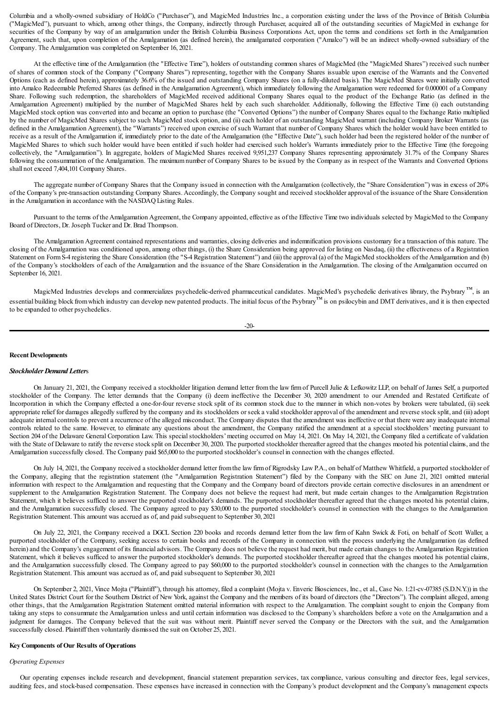Columbia and a wholly-owned subsidiary of HoldCo ("Purchaser"), and MagicMed Industries Inc., a corporation existing under the laws of the Province of British Columbia ("MagicMed"), pursuant to which, among other things, the Company, indirectly through Purchaser, acquired all of the outstanding securities of MagicMed in exchange for securities of the Company by way of an amalgamation under the British Columbia Business Corporations Act, upon the terms and conditions set forth in the Amalgamation Agreement, such that, upon completion of the Amalgamation (as defined herein), the amalgamated corporation ("Amalco") will be an indirect wholly-owned subsidiary of the Company. The Amalgamation was completed on September 16, 2021.

At the effective time of the Amalgamation (the "Effective Time"), holders of outstanding common shares of MagicMed (the "MagicMed Shares") received such number of shares of common stock of the Company ("Company Shares") representing, together with the Company Shares issuable upon exercise of the Warrants and the Converted Options (each as defined herein), approximately 36.6% of the issued and outstanding Company Shares (on a fully-diluted basis). The MagicMed Shares were initially converted into Amalco Redeemable Preferred Shares (as defined in the Amalgamation Agreement), which immediately following the Amalgamation were redeemed for 0.000001 ofa Company Share. Following such redemption, the shareholders of MagicMed received additional Company Shares equal to the product of the Exchange Ratio (as defined in the Amalgamation Agreement) multiplied by the number of MagicMed Shares held by each such shareholder. Additionally, following the Effective Time (i) each outstanding MagicMed stock option was converted into and became an option to purchase (the "Converted Options") the number of Company Shares equal to the Exchange Ratio multiplied by the number of MagicMed Shares subject to such MagicMed stock option, and (ii) each holder of an outstanding MagicMed warrant (including Company Broker Warrants (as defined in the Amalgamation Agreement), the "Warrants") received upon exercise of such Warrant that number of Company Shares which the holder would have been entitled to receive as a result of the Amalgamation if, immediately prior to the date of the Amalgamation (the "Effective Date"), such holder had been the registered holder of the number of MagicMed Shares to which such holder would have been entitled if such holder had exercised such holder's Warrants immediately prior to the Effective Time (the foregoing collectively, the "Amalgamation"). In aggregate, holders of MagicMed Shares received 9,951,237 Company Shares representing approximately 31.7% of the Company Shares following the consummation of the Amalgamation. The maximum number of Company Shares to be issued by the Company as in respect of the Warrants and Converted Options shall not exceed 7,404,101 Company Shares.

The aggregate number of Company Shares that the Company issued in connection with the Amalgamation (collectively, the "Share Consideration") was in excess of 20% of the Company's pre-transaction outstanding Company Shares.Accordingly, the Company sought and received stockholderapproval of the issuance of the Share Consideration in the Amalgamation in accordance with the NASDAQ Listing Rules.

Pursuant to the terms of the Amalgamation Agreement, the Company appointed, effective as of the Effective Time two individuals selected by MagicMed to the Company Board of Directors, Dr. Joseph Tuckerand Dr. Brad Thompson.

The Amalgamation Agreement contained representations and warranties, closing deliveries and indemnification provisions customary for a transaction of this nature. The closing of the Amalgamation was conditioned upon, among other things, (i) the Share Consideration being approved for listing on Nasdaq, (ii) the effectiveness of a Registration Statement on Form S-4 registering the Share Consideration (the "S-4 Registration Statement") and (iii) the approval (a) of the MagicMed stockholders of the Amalgamation and (b) of the Company's stockholders of each of the Amalgamation and the issuance of the Share Consideration in the Amalgamation. The closing of the Amalgamation occurred on September 16, 2021.

MagicMed Industries develops and commercializes psychedelic-derived pharmaceutical candidates. MagicMed's psychedelic derivatives library, the Psybrary<sup>™</sup>, is an essential building block from which industry can develop new patented products. The initial focus of the Psybrary™ is on psilocybin and DMT derivatives, and it is then expected to be expanded to other psychedelics.

$$
-20-
$$

#### **Recent Developments**

### *StockholderDemand Letter*s

On January 21, 2021, the Company received a stockholder litigation demand letter fromthe law firmof Purcell Julie & Lefkowitz LLP, on behalf of James Self, a purported stockholder of the Company. The letter demands that the Company (i) deem ineffective the December 30, 2020 amendment to our Amended and Restated Certificate of Incorporation in which the Company effected a one-for-four reverse stock split of its common stock due to the manner in which non-votes by brokers were tabulated, (ii) seek appropriate relief for damages allegedly suffered by the company and its stockholders or seek a valid stockholder approval of the amendment and reverse stock split, and (iii) adopt adequate internal controls to prevent a recurrence of the alleged misconduct. The Company disputes that the amendment was ineffective or that there were any inadequate internal controls related to the same. However, to eliminate any questions about the amendment, the Company ratified the amendment at a special stockholders' meeting pursuant to Section 204 of the Delaware General Corporation Law. This special stockholders' meeting occurred on May 14, 2021. On May 14, 2021, the Company filed a certificate of validation with the State of Delaware to ratify the reverse stock split on December 30, 2020. The purported stockholder thereafter agreed that the changes mooted his potential claims, and the Amalgamation successfully closed. The Company paid \$65,000 to the purported stockholder's counsel in connection with the changes effected.

On July 14, 2021, the Company received a stockholder demand letter fromthe law firmof Rigrodsky Law P.A., on behalf of Matthew Whitfield,a purported stockholder of the Company, alleging that the registration statement (the "Amalgamation Registration Statement") filed by the Company with the SEC on June 21, 2021 omitted material information with respect to the Amalgamation and requesting that the Company and the Company board of directors provide certain corrective disclosures in an amendment or supplement to the Amalgamation Registration Statement. The Company does not believe the request had merit, but made certain changes to the Amalgamation Registration Statement, which it believes sufficed to answer the purported stockholder's demands. The purported stockholder thereafter agreed that the changes mooted his potential claims, and the Amalgamation successfully closed. The Company agreed to pay \$30,000 to the purported stockholder's counsel in connection with the changes to the Amalgamation Registration Statement. This amount was accrued as of, and paid subsequent to September 30, 2021

On July 22, 2021, the Company received a DGCL Section 220 books and records demand letter from the law firm of Kahn Swick & Foti, on behalf of Scott Waller, a purported stockholder of the Company, seeking access to certain books and records of the Company in connection with the process underlying the Amalgamation (as defined herein) and the Company's engagement of its financial advisors. The Company does not believe the request had merit, but made certain changes to the Amalgamation Registration Statement, which it believes sufficed to answer the purported stockholder's demands. The purported stockholder thereafter agreed that the changes mooted his potential claims, and the Amalgamation successfully closed. The Company agreed to pay \$60,000 to the purported stockholder's counsel in connection with the changes to the Amalgamation Registration Statement. This amount was accrued as of, and paid subsequent to September 30, 2021

On September 2, 2021, Vince Mojta ("Plaintiff"), through his attorney, filed a complaint (Mojta v. Enveric Biosciences, Inc.,et al., Case No. 1:21-cv-07385 (S.D.N.Y.)) in the United States District Court for the Southern District of New York, against the Company and the members of its board of directors (the "Directors"). The complaint alleged, among other things, that the Amalgamation Registration Statement omitted material information with respect to the Amalgamation. The complaint sought to enjoin the Company from taking any steps to consummate the Amalgamation unless and until certain information was disclosed to the Company's shareholders before a vote on the Amalgamation and a judgment for damages. The Company believed that the suit was without merit. Plaintiff never served the Company or the Directors with the suit, and the Amalgamation successfully closed. Plaintiff then voluntarily dismissed the suit on October 25, 2021.

# **KeyComponents ofOur Results ofOperations**

### *Operating Expenses*

Our operating expenses include research and development, financial statement preparation services, tax compliance, various consulting and director fees, legal services, auditing fees, and stock-based compensation. These expenses have increased in connection with the Company's product development and the Company's management expects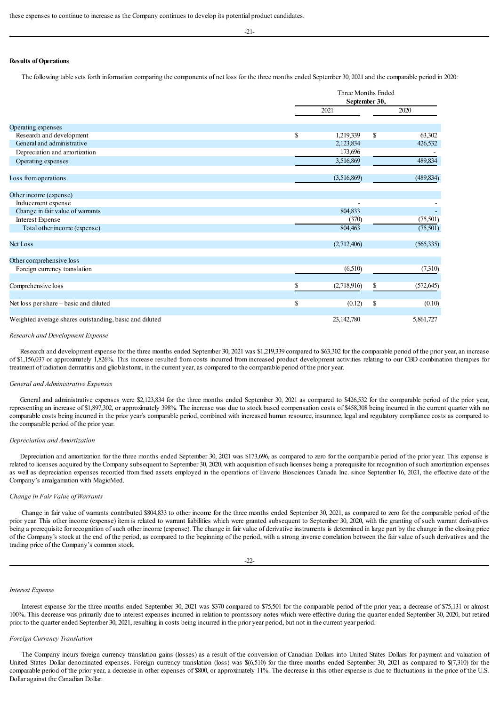these expenses to continue to increase as the Company continues to develop its potential product candidates.

# **Results** of Operations

The following table sets forth information comparing the components of net loss for the three months ended September 30, 2021 and the comparable period in 2020:

|                                                        |                 | Three Months Ended<br>September 30, |            |  |
|--------------------------------------------------------|-----------------|-------------------------------------|------------|--|
|                                                        | 2021            |                                     | 2020       |  |
|                                                        |                 |                                     |            |  |
| Operating expenses                                     |                 |                                     |            |  |
| Research and development                               | \$<br>1,219,339 | \$                                  | 63,302     |  |
| General and administrative                             | 2,123,834       |                                     | 426,532    |  |
| Depreciation and amortization                          |                 | 173,696                             |            |  |
| Operating expenses                                     | 3,516,869       |                                     | 489,834    |  |
| Loss from operations                                   | (3,516,869)     |                                     | (489, 834) |  |
| Other income (expense)                                 |                 |                                     |            |  |
| Inducement expense                                     |                 | -                                   |            |  |
| Change in fair value of warrants                       |                 | 804,833                             |            |  |
| Interest Expense                                       |                 | (370)                               | (75,501)   |  |
| Total other income (expense)                           |                 | 804,463                             | (75,501)   |  |
| Net Loss                                               | (2,712,406)     |                                     | (565, 335) |  |
| Other comprehensive loss                               |                 |                                     |            |  |
| Foreign currency translation                           |                 | (6,510)                             | (7,310)    |  |
| Comprehensive loss                                     | (2,718,916)     | \$                                  | (572, 645) |  |
| Net loss per share - basic and diluted                 | S               | (0.12)<br>\$                        | (0.10)     |  |
| Weighted average shares outstanding, basic and diluted | 23, 142, 780    |                                     | 5,861,727  |  |

# *Research and Development Expense*

Research and development expense for the three months ended September 30, 2021 was \$1,219,339 compared to \$63,302 for the comparable period of the prior year, an increase of \$1,156,037 or approximately 1,826%. This increase resulted from costs incurred from increased product development activities relating to our CBD combination therapies for treatment of radiation dermatitis and glioblastoma, in the current year, as compared to the comparable period of the prior year.

### *General and Administrative Expenses*

General and administrative expenses were \$2,123,834 for the three months ended September 30, 2021 as compared to \$426,532 for the comparable period of the prior year, representing an increase of \$1,897,302, or approximately 398%. The increase was due to stock based compensation costs of \$458,308 being incurred in the current quarter with no comparable costs being incurred in the prior year's comparable period,combined with increased human resource, insurance, legaland regulatory compliance costs as compared to the comparable period of the prior year.

### *Depreciation and Amortization*

Depreciation and amortization for the three months ended September 30, 2021 was \$173,696, as compared to zero for the comparable period of the prior year. This expense is related to licenses acquired by the Company subsequent to September 30, 2020, with acquisition ofsuch licenses being a prerequisite for recognition ofsuch amortization expenses as well as depreciation expenses recorded from fixed assets employed in the operations of Enveric Biosciences Canada Inc. since September 16, 2021, the effective date of the Company's amalgamation with MagicMed.

### *Change in Fair Value of Warrants*

Change in fair value of warrants contributed \$804,833 to other income for the three months ended September 30, 2021, as compared to zero for the comparable period of the prior year. This other income (expense) item is related to warrant liabilities which were granted subsequent to September 30, 2020, with the granting of such warrant derivatives being a prerequisite for recognition of such other income (expense). The change in fair value of derivative instruments is determined in large part by the change in the closing price of the Company's stock at the end of the period, as compared to the beginning of the period, with a strong inverse correlation between the fair value of such derivatives and the trading price of the Company's common stock.

$$
-22-
$$

### *Interest Expense*

Interest expense for the three months ended September 30, 2021 was \$370 compared to \$75,501 for the comparable period of the prior year, a decrease of \$75,131 or almost 100%. This decrease was primarily due to interest expenses incurred in relation to promissory notes which were effective during the quarter ended September 30, 2020, but retired prior to the quarterended September 30, 2021, resulting in costs being incurred in the prior year period, but not in the current year period.

# *Foreign Currency Translation*

The Company incurs foreign currency translation gains (losses) as a result of the conversion of Canadian Dollars into United States Dollars for payment and valuation of United States Dollar denominated expenses. Foreign currency translation (loss) was \$(6,510) for the three months ended September 30, 2021 as compared to \$(7,310) for the comparable period of the prior year, a decrease in other expenses of \$800, or approximately 11%. The decrease in this other expense is due to fluctuations in the price of the U.S. Dollaragainst the Canadian Dollar.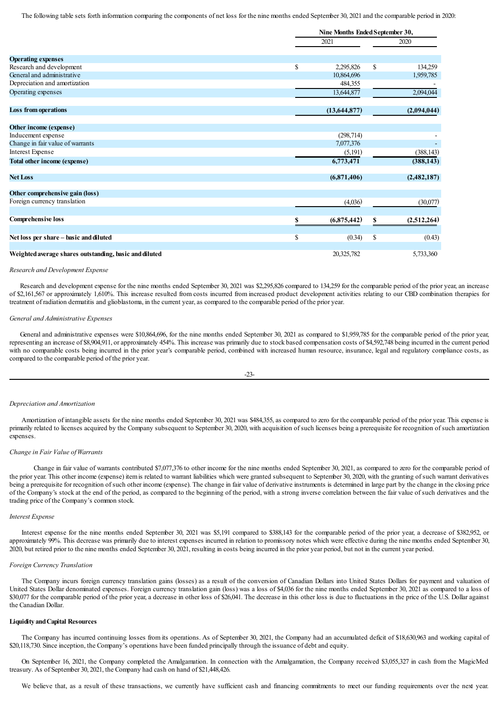The following table sets forth information comparing the components of net loss for the nine months ended September 30, 2021 and the comparable period in 2020:

|                                                        |                  | Nine Months Ended September 30, |             |
|--------------------------------------------------------|------------------|---------------------------------|-------------|
|                                                        | 2021             |                                 | 2020        |
| <b>Operating expenses</b>                              |                  |                                 |             |
| Research and development                               | \$<br>2,295,826  | \$                              | 134,259     |
| General and administrative                             | 10,864,696       |                                 | 1,959,785   |
| Depreciation and amortization                          | 484,355          |                                 |             |
| Operating expenses                                     | 13,644,877       |                                 | 2,094,044   |
| <b>Loss from operations</b>                            | (13,644,877)     |                                 | (2,094,044) |
| Other income (expense)                                 |                  |                                 |             |
| Inducement expense                                     | (298, 714)       |                                 |             |
| Change in fair value of warrants                       | 7,077,376        |                                 |             |
| <b>Interest Expense</b>                                |                  | (5,191)                         | (388, 143)  |
| Total other income (expense)                           | 6,773,471        |                                 | (388, 143)  |
| <b>Net Loss</b>                                        | (6,871,406)      |                                 | (2,482,187) |
| Other comprehensive gain (loss)                        |                  |                                 |             |
| Foreign currency translation                           |                  | (4,036)                         | (30,077)    |
| <b>Comprehensive loss</b>                              | (6,875,442)<br>S | S                               | (2,512,264) |
| Net loss per share - basic and diluted                 | \$               | \$<br>(0.34)                    | (0.43)      |
| Weighted average shares outstanding, basic and diluted | 20,325,782       |                                 | 5,733,360   |

### *Research and Development Expense*

Research and development expense for the nine months ended September 30, 2021 was \$2,295,826 compared to 134,259 for the comparable period of the prior year, an increase of \$2,161,567 or approximately 1,610%. This increase resulted from costs incurred from increased product development activities relating to our CBD combination therapies for treatment of radiation dermatitis and glioblastoma, in the current year, as compared to the comparable period of the prior year.

#### *General and Administrative Expenses*

General and administrative expenses were \$10,864,696, for the nine months ended September 30, 2021 as compared to \$1,959,785 for the comparable period of the prior year, representing an increase of \$8,904,911, orapproximately 454%. This increase was primarily due to stock based compensation costs of \$4,592,748 being incurred in the current period with no comparable costs being incurred in the prior year's comparable period, combined with increased human resource, insurance, legal and regulatory compliance costs, as compared to the comparable period of the prior year.

$$
-23-
$$

### *Depreciation and Amortization*

Amortization of intangible assets for the nine months ended September 30, 2021 was \$484,355, as compared to zero for the comparable period of the prior year. This expense is primarily related to licenses acquired by the Company subsequent to September 30, 2020, with acquisition of such licenses being a prerequisite for recognition of such amortization expenses.

### *Change in Fair Value of Warrants*

Change in fair value of warrants contributed \$7,077,376 to other income for the nine months ended September 30, 2021, as compared to zero for the comparable period of the prior year. This other income (expense) item is related to warrant liabilities which were granted subsequent to September 30, 2020, with the granting of such warrant derivatives being a prerequisite for recognition of such other income (expense). The change in fair value of derivative instruments is determined in large part by the change in the closing price of the Company's stock at the end of the period, as compared to the beginning of the period, with a strong inverse correlation between the fair value of such derivatives and the trading price of the Company's common stock.

#### *Interest Expense*

Interest expense for the nine months ended September 30, 2021 was \$5,191 compared to \$388,143 for the comparable period of the prior year, a decrease of \$382,952, or approximately 99%. This decrease was primarily due to interest expenses incurred in relation to promissory notes which were effective during the nine months ended September 30, 2020, but retired prior to the nine months ended September 30, 2021, resulting in costs being incurred in the prior year period, but not in the current year period.

### *Foreign Currency Translation*

The Company incurs foreign currency translation gains (losses) as a result of the conversion of Canadian Dollars into United States Dollars for payment and valuation of United States Dollar denominated expenses. Foreign currency translation gain (loss) was a loss of \$4,036 for the nine months ended September 30, 2021 as compared to a loss of \$30,077 for the comparable period of the prior year, a decrease in other loss of \$26,041. The decrease in this other loss is due to fluctuations in the price of the U.S. Dollar against the Canadian Dollar.

### **Liquidity andCapital Resources**

The Company has incurred continuing losses fromits operations. As of September 30, 2021, the Company had an accumulated deficit of \$18,630,963 and working capital of \$20,118,730. Since inception, the Company's operations have been funded principally through the issuance of debt and equity.

On September 16, 2021, the Company completed the Amalgamation. In connection with the Amalgamation, the Company received \$3,055,327 in cash from the MagicMed treasury. As of September 30, 2021, the Company had cash on hand of \$21,448,426.

We believe that, as a result of these transactions, we currently have sufficient cash and financing commitments to meet our funding requirements over the next year.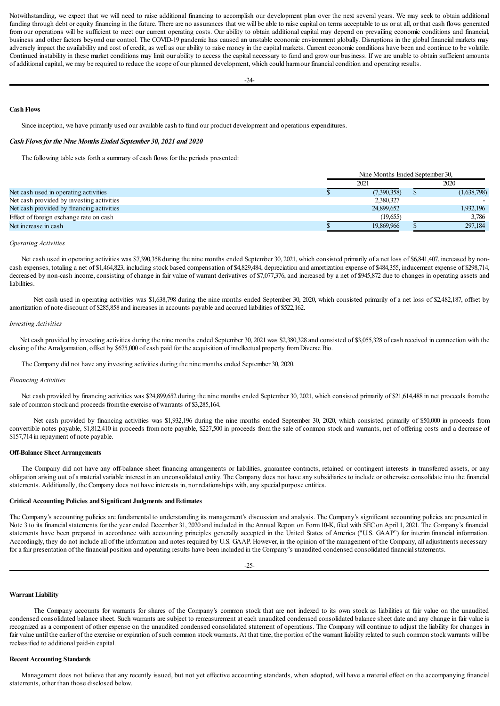Notwithstanding, we expect that we will need to raise additional financing to accomplish our development plan over the next several years. We may seek to obtain additional funding through debt or equity financing in the future. There are no assurances that we will be able to raise capital on terms acceptable to us or at all, or that cash flows generated from our operations will be sufficient to meet our current operating costs. Our ability to obtain additional capital may depend on prevailing economic conditions and financial, business and other factors beyond our control. The COVID-19 pandemic has caused an unstable economic environment globally. Disruptions in the global financial markets may adversely impact the availability and cost of credit, as well as our ability to raise money in the capital markets. Current economic conditions have been and continue to be volatile. Continued instability in these market conditions may limit our ability to access the capital necessary to fund and grow our business. If we are unable to obtain sufficient amounts ofadditionalcapital, we may be required to reduce the scope of our planned development, which could harmour financialcondition and operating results.

### **Cash Flows**

Since inception, we have primarily used our available cash to fund our product development and operations expenditures.

# *CashFlowsforthe Nine Months Ended September 30, 2021 and 2020*

The following table sets forth a summary of cash flows for the periods presented:

|                                           | Nine Months Ended September 30, |  |             |
|-------------------------------------------|---------------------------------|--|-------------|
|                                           | 2021                            |  | 2020        |
| Net cash used in operating activities     | (7,390,358)                     |  | (1,638,798) |
| Net cash provided by investing activities | 2,380,327                       |  |             |
| Net cash provided by financing activities | 24,899,652                      |  | 1,932,196   |
| Effect of foreign exchange rate on cash   | (19,655)                        |  | 3.786       |
| Net increase in cash                      | 19,869,966                      |  | 297,184     |

#### *Operating Activities*

Net cash used in operating activities was \$7,390,358 during the nine months ended September 30, 2021, which consisted primarily of a net loss of \$6,841,407, increased by noncash expenses, totaling a net of \$1,464,823, including stock based compensation of \$4,829,484, depreciation and amortization expense of \$484,355, inducement expense of \$298,714, decreased by non-cash income, consisting of change in fair value of warrant derivatives of \$7,077,376, and increased by a net of \$945,872 due to changes in operating assets and liabilities.

Net cash used in operating activities was \$1,638,798 during the nine months ended September 30, 2020, which consisted primarily of a net loss of \$2,482,187, offset by amortization of note discount of \$285,858 and increases in accounts payable and accrued liabilities of \$522,162.

### *Investing Activities*

Net cash provided by investing activities during the nine months ended September 30, 2021 was \$2,380,328 and consisted of \$3,055,328 ofcash received in connection with the closing of the Amalgamation, offset by \$675,000 ofcash paid for the acquisition of intellectual property fromDiverse Bio.

The Company did not have any investing activities during the nine months ended September 30, 2020.

### *Financing Activities*

Net cash provided by financing activities was \$24,899,652 during the nine months ended September 30, 2021, which consisted primarily of \$21,614,488 in net proceeds from the sale of common stock and proceeds from the exercise of warrants of \$3,285,164.

Net cash provided by financing activities was \$1,932,196 during the nine months ended September 30, 2020, which consisted primarily of \$50,000 in proceeds from convertible notes payable, \$1,812,410 in proceeds fromnote payable, \$227,500 in proceeds fromthe sale of common stock and warrants, net of offering costs and a decrease of \$157,714 in repayment of note payable.

### **Off-Balance Sheet Arrangements**

The Company did not have any off-balance sheet financing arrangements or liabilities, guarantee contracts, retained or contingent interests in transferred assets, or any obligation arising out ofa material variable interest in an unconsolidated entity. The Company does not have any subsidiaries to include or otherwise consolidate into the financial statements. Additionally, the Company does not have interests in, nor relationships with, any special purpose entities.

## **Critical Accounting Policies and Significant Judgments and Estimates**

The Company's accounting policies are fundamental to understanding its management's discussion and analysis. The Company's significant accounting policies are presented in Note 3 to its financial statements for the year ended December 31, 2020 and included in the Annual Report on Form 10-K, filed with SEC on April 1, 2021. The Company's financial statements have been prepared in accordance with accounting principles generally accepted in the United States of America ("U.S. GAAP") for interim financial information. Accordingly, they do not include all of the information and notes required by U.S. GAAP. However, in the opinion of the management of the Company, all adjustments necessary fora fair presentation of the financial position and operating results have been included in the Company's unaudited condensed consolidated financialstatements.

$$
-25-
$$

### **Warrant Liability**

The Company accounts for warrants for shares of the Company's common stock that are not indexed to its own stock as liabilities at fair value on the unaudited condensed consolidated balance sheet. Such warrants are subject to remeasurement at each unaudited condensed consolidated balance sheet date and any change in fair value is recognized as a component of other expense on the unaudited condensed consolidated statement of operations. The Company will continue to adjust the liability for changes in fair value until the earlier of the exercise or expiration of such common stock warrants. At that time, the portion of the warrant liability related to such common stock warrants will be reclassified to additional paid-in capital.

### **Recent Accounting Standards**

Management does not believe that any recently issued, but not yet effective accounting standards, when adopted, will have a material effect on the accompanying financial statements, other than those disclosed below.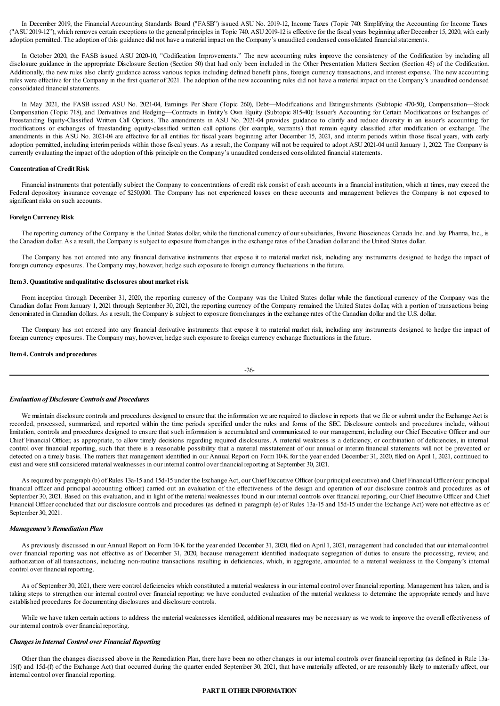In December 2019, the Financial Accounting Standards Board ("FASB") issued ASU No. 2019-12, Income Taxes (Topic 740: Simplifying the Accounting for Income Taxes ("ASU2019-12"), which removes certain exceptions to the general principles in Topic 740. ASU2019-12 is effective for the fiscal years beginning after December 15, 2020, with early adoption permitted. The adoption of this guidance did not have a material impact on the Company's unaudited condensed consolidated financialstatements.

In October 2020, the FASB issued ASU 2020-10, "Codification Improvements." The new accounting rules improve the consistency of the Codification by including all disclosure guidance in the appropriate Disclosure Section (Section 50) that had only been included in the Other Presentation Matters Section (Section 45) of the Codification. Additionally, the new rules also clarify guidance across various topics including defined benefit plans, foreign currency transactions, and interest expense. The new accounting rules were effective for the Company in the first quarter of 2021. The adoption of the new accounting rules did not have a material impact on the Company's unaudited condensed consolidated financial statements.

In May 2021, the FASB issued ASU No. 2021-04, Earnings Per Share (Topic 260), Debt—Modifications and Extinguishments (Subtopic 470-50), Compensation-Stock Compensation (Topic 718), and Derivatives and Hedging—Contracts in Entity's Own Equity (Subtopic 815-40): Issuer's Accounting for Certain Modifications or Exchanges of Freestanding Equity-Classified Written Call Options. The amendments in ASU No. 2021-04 provides guidance to clarify and reduce diversity in an issuer's accounting for modifications or exchanges of freestanding equity-classified written call options (for example, warrants) that remain equity classified after modification or exchange. The amendments in this ASU No. 2021-04 are effective for all entities for fiscal years beginning after December 15, 2021, and interim periods within those fiscal years, with early adoption permitted, including interimperiods within those fiscal years. As a result, the Company will not be required to adopt ASU 2021-04 until January 1, 2022. The Company is currently evaluating the impact of the adoption of this principle on the Company's unaudited condensed consolidated financialstatements.

### **Concentration of Credit Risk**

Financial instruments that potentially subject the Company to concentrations of credit risk consist of cash accounts in a financial institution, which at times, may exceed the Federal depository insurance coverage of \$250,000. The Company has not experienced losses on these accounts and management believes the Company is not exposed to significant risks on such accounts.

#### **Foreign CurrencyRisk**

The reporting currency of the Company is the United States dollar, while the functional currency of our subsidiaries, Enveric Biosciences Canada Inc. and Jay Pharma, Inc., is the Canadian dollar. As a result, the Company is subject to exposure from changes in the exchange rates of the Canadian dollar and the United States dollar.

The Company has not entered into any financial derivative instruments that expose it to material market risk, including any instruments designed to hedge the impact of foreign currency exposures. The Company may, however, hedge such exposure to foreign currency fluctuations in the future.

### **Item3. Quantitative andqualitative disclosures about marketrisk**

From inception through December 31, 2020, the reporting currency of the Company was the United States dollar while the functional currency of the Company was the Canadian dollar. FromJanuary 1, 2021 through September 30, 2021, the reporting currency of the Company remained the United States dollar, with a portion of transactions being denominated in Canadian dollars. As a result, the Company is subject to exposure fromchanges in the exchange rates of the Canadian dollarand the U.S. dollar.

The Company has not entered into any financial derivative instruments that expose it to material market risk, including any instruments designed to hedge the impact of foreign currency exposures. The Company may, however, hedge such exposure to foreign currency exchange fluctuations in the future.

#### **Item4. Controls andprocedures**

-26-

### *Evaluation ofDisclosure Controls and Procedures*

We maintain disclosure controls and procedures designed to ensure that the information we are required to disclose in reports that we file or submit under the Exchange Act is recorded, processed, summarized, and reported within the time periods specified under the rules and forms of the SEC. Disclosure controls and procedures include, without limitation, controls and procedures designed to ensure that such information is accumulated and communicated to our management, including our Chief Executive Officer and our Chief Financial Officer, as appropriate, to allow timely decisions regarding required disclosures. A material weakness is a deficiency, or combination of deficiencies, in internal control over financial reporting, such that there is a reasonable possibility that a material misstatement of our annual or interim financial statements will not be prevented or detected on a timely basis. The matters that management identified in our Annual Report on Form 10-K for the year ended December 31, 2020, filed on April 1, 2021, continued to exist and were stillconsidered materialweaknesses in our internalcontrol over financial reporting at September 30, 2021.

As required by paragraph (b) of Rules 13a-15 and 15d-15 under the Exchange Act, our Chief Executive Officer (our principal executive) and Chief Financial Officer (our principal financial officer and principal accounting officer) carried out an evaluation of the effectiveness of the design and operation of our disclosure controls and procedures as of September 30, 2021. Based on this evaluation, and in light of the material weaknesses found in our internal controls over financial reporting, our Chief Executive Officer and Chief Financial Officer concluded that our disclosure controls and procedures (as defined in paragraph (e) of Rules 13a-15 and 15d-15 under the Exchange Act) were not effective as of September 30, 2021.

### *Management's* Remediation Plan

As previously discussed in our Annual Report on Form 10-K for the year ended December 31, 2020, filed on April 1, 2021, management had concluded that our internal control over financial reporting was not effective as of December 31, 2020, because management identified inadequate segregation of duties to ensure the processing, review, and authorization of all transactions, including non-routine transactions resulting in deficiencies, which, in aggregate, amounted to a material weakness in the Company's internal control over financial reporting.

As of September 30, 2021, there were control deficiencies which constituted a material weakness in our internal control over financial reporting. Management has taken, and is taking steps to strengthen our internal control over financial reporting: we have conducted evaluation of the material weakness to determine the appropriate remedy and have established procedures for documenting disclosures and disclosure controls.

While we have taken certain actions to address the material weaknesses identified, additional measures may be necessary as we work to improve the overall effectiveness of our internal controls over financial reporting.

#### *Changesin Internal Control over Financial Reporting*

Other than the changes discussed above in the Remediation Plan, there have been no other changes in our internalcontrols over financial reporting (as defined in Rule 13a-15(f) and 15d-(f) of the Exchange Act) that occurred during the quarter ended September 30, 2021, that have materially affected, or are reasonably likely to materially affect, our internal control over financial reporting.

# **PART II. OTHER INFORMATION**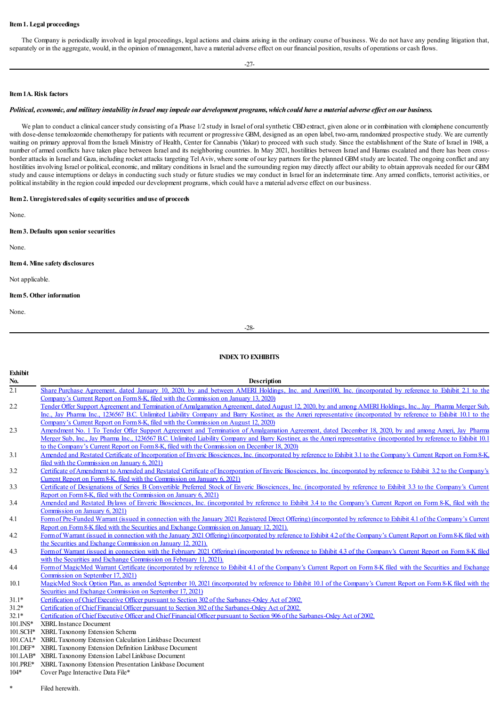# **Item1. Legal proceedings**

The Company is periodically involved in legal proceedings, legal actions and claims arising in the ordinary course of business. We do not have any pending litigation that, separately or in the aggregate, would, in the opinion of management, have a material adverse effect on our financial position, results of operations or cash flows.

### **Item1A. Risk factors**

### Political, economic, and military instability in Israel may impede our development programs, which could have a material adverse effect on our business.

We plan to conduct a clinical cancer study consisting of a Phase 1/2 study in Israel of oral synthetic CBD extract, given alone or in combination with clomiphene concurrently with dose-dense temolozomide chemotherapy for patients with recurrent or progressive GBM, designed as an open label, two-arm, randomized prospective study. We are currently waiting on primary approval fromthe Israeli Ministry of Health, Center for Cannabis (Yakar) to proceed with such study. Since the establishment of the State of Israel in 1948, a number of armed conflicts have taken place between Israel and its neighboring countries. In May 2021, hostilities between Israel and Hamas escalated and there has been crossborder attacks in Israel and Gaza, including rocket attacks targeting Tel Aviv, where some of our key partners for the planned GBM study are located. The ongoing conflict and any hostilities involving Israel or political, economic, and military conditions in Israel and the surrounding region may directly affect our ability to obtain approvals needed for our GBM study and cause interruptions or delays in conducting such study or future studies we may conduct in Israel for an indeterminate time. Any armed conflicts, terrorist activities, or political instability in the region could impeded our development programs, which could have a materialadverse effect on our business.

### **Item2. Unregisteredsales ofequity securities anduse of proceeds**

None.

### **Item3. Defaults upon senior securities**

None.

# **Item4. Mine safety disclosures**

Not applicable.

#### **Item5. Other information**

None.

**Exhibit**

# **INDEXTOEXHIBITS**

| No.          | <b>Description</b>                                                                                                                                                                                                                                                                                                                                         |
|--------------|------------------------------------------------------------------------------------------------------------------------------------------------------------------------------------------------------------------------------------------------------------------------------------------------------------------------------------------------------------|
| 2.1          | Share Purchase Agreement, dated January 10, 2020, by and between AMERI Holdings, Inc. and Ameri100, Inc. (incorporated by reference to Exhibit 2.1 to the                                                                                                                                                                                                  |
|              | Company's Current Report on Form 8-K, filed with the Commission on January 13, 2020)                                                                                                                                                                                                                                                                       |
| 2.2          | Tender Offer Support Agreement and Termination of Amalgamation Agreement, dated August 12, 2020, by and among AMERI Holdings, Inc., Jay Pharma Merger Sub.                                                                                                                                                                                                 |
|              | Inc., Jay Pharma Inc., 1236567 B.C. Unlimited Liability Company and Barry Kostiner, as the Ameri representative (incorporated by reference to Exhibit 10.1 to the                                                                                                                                                                                          |
|              | Company's Current Report on Form 8-K, filed with the Commission on August 12, 2020)                                                                                                                                                                                                                                                                        |
| 2.3          | Amendment No. 1 To Tender Offer Support Agreement and Termination of Amalgamation Agreement, dated December 18, 2020, by and among Ameri, Jay Pharma                                                                                                                                                                                                       |
|              | Merger Sub, Inc., Jay Pharma Inc., 1236567 B.C. Unlimited Liability Company and Barry Kostiner, as the Ameri representative (incorporated by reference to Exhibit 10.1                                                                                                                                                                                     |
|              | to the Company's Current Report on Form 8-K, filed with the Commission on December 18, 2020)                                                                                                                                                                                                                                                               |
| 3.1          | Amended and Restated Certificate of Incorporation of Enveric Biosciences, Inc. (incorporated by reference to Exhibit 3.1 to the Company's Current Report on Form 8-K,                                                                                                                                                                                      |
|              | filed with the Commission on January 6, 2021)                                                                                                                                                                                                                                                                                                              |
| 3.2          | Certificate of Amendment to Amended and Restated Certificate of Incorporation of Enveric Biosciences, Inc. (incorporated by reference to Exhibit 3.2 to the Company's                                                                                                                                                                                      |
|              | Current Report on Form 8-K, filed with the Commission on January 6, 2021)                                                                                                                                                                                                                                                                                  |
| 3.3          | Certificate of Designations of Series B Convertible Preferred Stock of Enveric Biosciences, Inc. (incorporated by reference to Exhibit 3.3 to the Company's Current                                                                                                                                                                                        |
|              | Report on Form 8-K, filed with the Commission on January 6, 2021)                                                                                                                                                                                                                                                                                          |
| 3.4          | Amended and Restated Bylaws of Enveric Biosciences, Inc. (incorporated by reference to Exhibit 3.4 to the Company's Current Report on Form 8-K, filed with the                                                                                                                                                                                             |
|              | Commission on January 6, 2021)                                                                                                                                                                                                                                                                                                                             |
| 4.1          | Form of Pre-Funded Warrant (issued in connection with the January 2021 Registered Direct Offering) (incorporated by reference to Exhibit 4.1 of the Company's Current                                                                                                                                                                                      |
|              | Report on Form 8-K filed with the Securities and Exchange Commission on January 12, 2021).                                                                                                                                                                                                                                                                 |
| 4.2          | Form of Warrant (issued in connection with the January 2021 Offering) (incorporated by reference to Exhibit 4.2 of the Company's Current Report on Form 8-K filed with                                                                                                                                                                                     |
|              | the Securities and Exchange Commission on January 12, 2021).                                                                                                                                                                                                                                                                                               |
| 4.3          | Form of Warrant (issued in connection with the February 2021 Offering) (incorporated by reference to Exhibit 4.3 of the Company's Current Report on Form 8-K filed                                                                                                                                                                                         |
|              | with the Securities and Exchange Commission on February 11, 2021).                                                                                                                                                                                                                                                                                         |
| 4.4          | Form of MagicMed Warrant Certificate (incorporated by reference to Exhibit 4.1 of the Company's Current Report on Form 8-K filed with the Securities and Exchange                                                                                                                                                                                          |
|              | Commission on September 17, 2021)                                                                                                                                                                                                                                                                                                                          |
| 10.1         | MagicMed Stock Option Plan, as amended September 10, 2021 (incorporated by reference to Exhibit 10.1 of the Company's Current Report on Form 8-K filed with the                                                                                                                                                                                            |
|              | Securities and Exchange Commission on September 17, 2021)                                                                                                                                                                                                                                                                                                  |
| $31.1*$      | Certification of Chief Executive Officer pursuant to Section 302 of the Sarbanes-Oxley Act of 2002.                                                                                                                                                                                                                                                        |
| $31.2*$      | Certification of Chief Financial Officer pursuant to Section 302 of the Sarbanes-Oxley Act of 2002.                                                                                                                                                                                                                                                        |
| $32.1*$      | Certification of Chief Executive Officer and Chief Financial Officer pursuant to Section 906 of the Sarbanes-Oxlev Act of 2002.                                                                                                                                                                                                                            |
| $101$ . INS* | <b>XBRL</b> Instance Document                                                                                                                                                                                                                                                                                                                              |
| $101.SCH*$   | XBRL Taxonomy Extension Schema                                                                                                                                                                                                                                                                                                                             |
| $101.CAL*$   | XBRL Taxonomy Extension Calculation Linkbase Document                                                                                                                                                                                                                                                                                                      |
| $101.DEF*$   | XBRL Taxonomy Extension Definition Linkbase Document                                                                                                                                                                                                                                                                                                       |
|              | 101.LAB* XBRL Taxonomy Extension Label Linkbase Document                                                                                                                                                                                                                                                                                                   |
|              | $101 \text{ DDE}$ VDDI $T_{\text{current}}$ , $T_{\text{t}}$ , $T_{\text{t}}$ , $T_{\text{t}}$ , $T_{\text{t}}$ , $T_{\text{t}}$ , $T_{\text{t}}$ , $T_{\text{t}}$ , $T_{\text{t}}$ , $T_{\text{t}}$ , $T_{\text{t}}$ , $T_{\text{t}}$ , $T_{\text{t}}$ , $T_{\text{t}}$ , $T_{\text{t}}$ , $T_{\text{t}}$ , $T_{\text{t}}$ , $T_{\text{t}}$ , $T_{\text{$ |

- 101.PRE\* XBRLTaxonomy Extension Presentation Linkbase Document
- 104\* Cover Page Interactive Data File\*
- Filed herewith.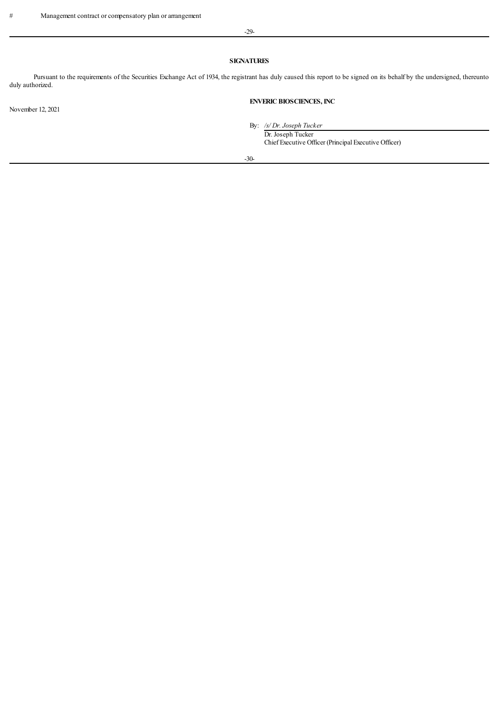# **SIGNATURES**

Pursuant to the requirements of the Securities Exchange Act of 1934, the registrant has duly caused this report to be signed on its behalf by the undersigned, thereunto duly authorized.

<span id="page-21-0"></span>November 12, 2021

**ENVERICBIOSCIENCES, INC**

By: */s/ Dr.Joseph Tucker*

Dr. Joseph Tucker Chief Executive Officer (Principal Executive Officer)

-30-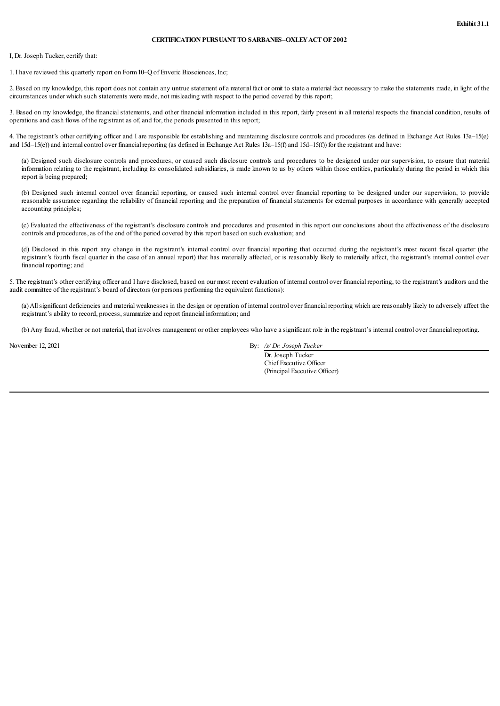# **CERTIFICATIONPURSUANTTOSARBANES–OXLEYACTOF2002**

I, Dr. Joseph Tucker, certify that:

1. I have reviewed this quarterly report on Form10–Qof Enveric Biosciences, Inc;

2. Based on my knowledge, this report does not contain any untrue statement ofa material fact or omit to state a material fact necessary to make the statements made, in light of the circumstances under which such statements were made, not misleading with respect to the period covered by this report;

3. Based on my knowledge, the financial statements, and other financial information included in this report, fairly present in all material respects the financialcondition, results of operations and cash flows of the registrant as of,and for, the periods presented in this report;

4. The registrant's other certifying officer and Iare responsible for establishing and maintaining disclosure controls and procedures (as defined in Exchange Act Rules 13a–15(e) and 15d–15(e)) and internal control over financial reporting (as defined in Exchange Act Rules 13a–15(f) and 15d–15(f)) for the registrant and have:

(a) Designed such disclosure controls and procedures, or caused such disclosure controls and procedures to be designed under our supervision, to ensure that material information relating to the registrant, including its consolidated subsidiaries, is made known to us by others within those entities, particularly during the period in which this report is being prepared;

(b) Designed such internal control over financial reporting, or caused such internal control over financial reporting to be designed under our supervision, to provide reasonable assurance regarding the reliability of financial reporting and the preparation of financial statements for external purposes in accordance with generally accepted accounting principles;

(c) Evaluated the effectiveness of the registrant's disclosure controls and procedures and presented in this report our conclusions about the effectiveness of the disclosure controls and procedures, as of the end of the period covered by this report based on such evaluation; and

(d) Disclosed in this report any change in the registrant's internal control over financial reporting that occurred during the registrant's most recent fiscal quarter (the registrant's fourth fiscal quarter in the case of an annual report) that has materially affected, or is reasonably likely to materially affect, the registrant's internal control over financial reporting; and

5. The registrant's other certifying officer and I have disclosed, based on our most recent evaluation of internal control over financial reporting, to the registrant's auditors and the audit committee of the registrant's board of directors (or persons performing the equivalent functions):

(a)Allsignificant deficiencies and materialweaknesses in the design or operation of internalcontrol over financial reporting which are reasonably likely to adversely affect the registrant's ability to record, process, summarize and report financial information; and

(b) Any fraud, whether or not material, that involves management or otheremployees who have a significant role in the registrant's internalcontrol over financial reporting.

<span id="page-22-0"></span>

November 12, 2021 By: */s/ Dr.Joseph Tucker*

Dr. Joseph Tucker Chief Executive Officer (Principal Executive Officer)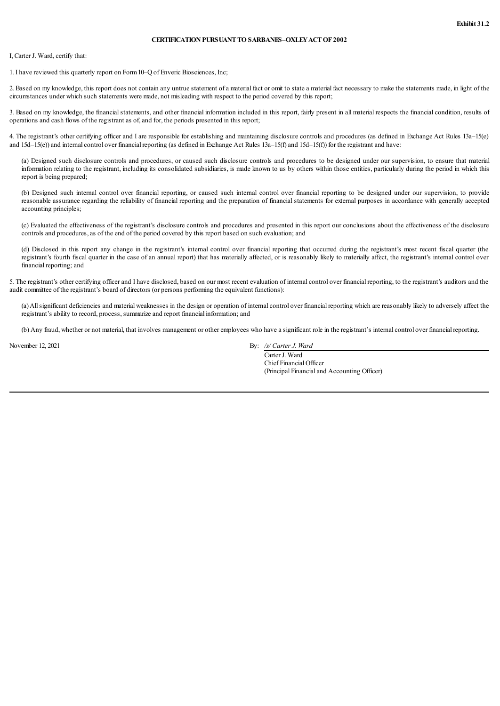# **CERTIFICATIONPURSUANTTOSARBANES–OXLEYACTOF2002**

I, Carter J. Ward, certify that:

1. I have reviewed this quarterly report on Form10–Qof Enveric Biosciences, Inc;

2. Based on my knowledge, this report does not contain any untrue statement ofa material fact or omit to state a material fact necessary to make the statements made, in light of the circumstances under which such statements were made, not misleading with respect to the period covered by this report;

3. Based on my knowledge, the financial statements, and other financial information included in this report, fairly present in all material respects the financialcondition, results of operations and cash flows of the registrant as of,and for, the periods presented in this report;

4. The registrant's other certifying officer and Iare responsible for establishing and maintaining disclosure controls and procedures (as defined in Exchange Act Rules 13a–15(e) and 15d–15(e)) and internal control over financial reporting (as defined in Exchange Act Rules 13a–15(f) and 15d–15(f)) for the registrant and have:

(a) Designed such disclosure controls and procedures, or caused such disclosure controls and procedures to be designed under our supervision, to ensure that material information relating to the registrant, including its consolidated subsidiaries, is made known to us by others within those entities, particularly during the period in which this report is being prepared;

(b) Designed such internal control over financial reporting, or caused such internal control over financial reporting to be designed under our supervision, to provide reasonable assurance regarding the reliability of financial reporting and the preparation of financial statements for external purposes in accordance with generally accepted accounting principles;

(c) Evaluated the effectiveness of the registrant's disclosure controls and procedures and presented in this report our conclusions about the effectiveness of the disclosure controls and procedures, as of the end of the period covered by this report based on such evaluation; and

(d) Disclosed in this report any change in the registrant's internal control over financial reporting that occurred during the registrant's most recent fiscal quarter (the registrant's fourth fiscal quarter in the case of an annual report) that has materially affected, or is reasonably likely to materially affect, the registrant's internal control over financial reporting; and

5. The registrant's other certifying officer and I have disclosed, based on our most recent evaluation of internal control over financial reporting, to the registrant's auditors and the audit committee of the registrant's board of directors (or persons performing the equivalent functions):

(a)Allsignificant deficiencies and materialweaknesses in the design or operation of internalcontrol over financial reporting which are reasonably likely to adversely affect the registrant's ability to record, process, summarize and report financial information; and

(b) Any fraud, whether or not material, that involves management or otheremployees who have a significant role in the registrant's internalcontrol over financial reporting.

<span id="page-23-0"></span>

November 12, 2021 By: */s/ CarterJ. Ward*

Carter J. Ward Chief FinancialOfficer (Principal Financialand Accounting Officer)